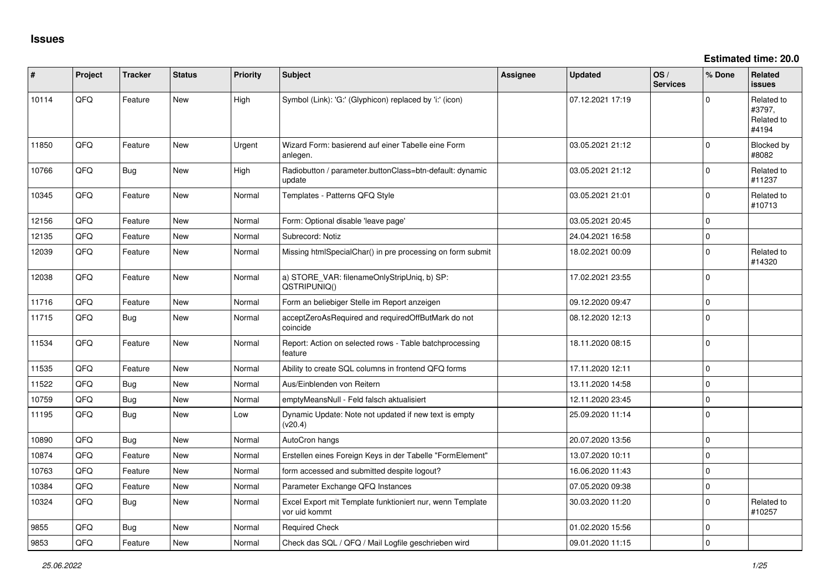**Estimated time: 20.0**

| ∦     | Project | <b>Tracker</b> | <b>Status</b> | <b>Priority</b> | <b>Subject</b>                                                             | <b>Assignee</b> | <b>Updated</b>   | OS/<br><b>Services</b> | % Done       | Related<br><b>issues</b>                    |
|-------|---------|----------------|---------------|-----------------|----------------------------------------------------------------------------|-----------------|------------------|------------------------|--------------|---------------------------------------------|
| 10114 | QFQ     | Feature        | <b>New</b>    | High            | Symbol (Link): 'G:' (Glyphicon) replaced by 'i:' (icon)                    |                 | 07.12.2021 17:19 |                        | $\Omega$     | Related to<br>#3797,<br>Related to<br>#4194 |
| 11850 | QFQ     | Feature        | <b>New</b>    | Urgent          | Wizard Form: basierend auf einer Tabelle eine Form<br>anlegen.             |                 | 03.05.2021 21:12 |                        | $\Omega$     | Blocked by<br>#8082                         |
| 10766 | QFQ     | Bug            | New           | High            | Radiobutton / parameter.buttonClass=btn-default: dynamic<br>update         |                 | 03.05.2021 21:12 |                        | $\mathbf 0$  | Related to<br>#11237                        |
| 10345 | QFQ     | Feature        | New           | Normal          | Templates - Patterns QFQ Style                                             |                 | 03.05.2021 21:01 |                        | $\Omega$     | Related to<br>#10713                        |
| 12156 | QFQ     | Feature        | New           | Normal          | Form: Optional disable 'leave page'                                        |                 | 03.05.2021 20:45 |                        | $\mathbf 0$  |                                             |
| 12135 | QFQ     | Feature        | <b>New</b>    | Normal          | Subrecord: Notiz                                                           |                 | 24.04.2021 16:58 |                        | $\mathbf 0$  |                                             |
| 12039 | QFQ     | Feature        | New           | Normal          | Missing htmlSpecialChar() in pre processing on form submit                 |                 | 18.02.2021 00:09 |                        | $\mathbf 0$  | Related to<br>#14320                        |
| 12038 | QFQ     | Feature        | New           | Normal          | a) STORE_VAR: filenameOnlyStripUniq, b) SP:<br>QSTRIPUNIQ()                |                 | 17.02.2021 23:55 |                        | $\mathbf 0$  |                                             |
| 11716 | QFQ     | Feature        | <b>New</b>    | Normal          | Form an beliebiger Stelle im Report anzeigen                               |                 | 09.12.2020 09:47 |                        | $\mathbf 0$  |                                             |
| 11715 | QFQ     | <b>Bug</b>     | New           | Normal          | acceptZeroAsRequired and requiredOffButMark do not<br>coincide             |                 | 08.12.2020 12:13 |                        | $\Omega$     |                                             |
| 11534 | QFQ     | Feature        | New           | Normal          | Report: Action on selected rows - Table batchprocessing<br>feature         |                 | 18.11.2020 08:15 |                        | $\mathbf 0$  |                                             |
| 11535 | QFQ     | Feature        | <b>New</b>    | Normal          | Ability to create SQL columns in frontend QFQ forms                        |                 | 17.11.2020 12:11 |                        | $\mathbf 0$  |                                             |
| 11522 | QFQ     | <b>Bug</b>     | New           | Normal          | Aus/Einblenden von Reitern                                                 |                 | 13.11.2020 14:58 |                        | $\pmb{0}$    |                                             |
| 10759 | QFQ     | Bug            | <b>New</b>    | Normal          | emptyMeansNull - Feld falsch aktualisiert                                  |                 | 12.11.2020 23:45 |                        | $\mathbf{0}$ |                                             |
| 11195 | QFQ     | <b>Bug</b>     | <b>New</b>    | Low             | Dynamic Update: Note not updated if new text is empty<br>(v20.4)           |                 | 25.09.2020 11:14 |                        | $\Omega$     |                                             |
| 10890 | QFQ     | <b>Bug</b>     | New           | Normal          | AutoCron hangs                                                             |                 | 20.07.2020 13:56 |                        | $\mathbf 0$  |                                             |
| 10874 | QFQ     | Feature        | New           | Normal          | Erstellen eines Foreign Keys in der Tabelle "FormElement"                  |                 | 13.07.2020 10:11 |                        | $\mathbf 0$  |                                             |
| 10763 | QFQ     | Feature        | New           | Normal          | form accessed and submitted despite logout?                                |                 | 16.06.2020 11:43 |                        | $\pmb{0}$    |                                             |
| 10384 | QFQ     | Feature        | New           | Normal          | Parameter Exchange QFQ Instances                                           |                 | 07.05.2020 09:38 |                        | $\mathbf 0$  |                                             |
| 10324 | QFQ     | Bug            | New           | Normal          | Excel Export mit Template funktioniert nur, wenn Template<br>vor uid kommt |                 | 30.03.2020 11:20 |                        | $\mathbf 0$  | Related to<br>#10257                        |
| 9855  | QFQ     | Bug            | <b>New</b>    | Normal          | <b>Required Check</b>                                                      |                 | 01.02.2020 15:56 |                        | $\mathbf 0$  |                                             |
| 9853  | QFQ     | Feature        | <b>New</b>    | Normal          | Check das SQL / QFQ / Mail Logfile geschrieben wird                        |                 | 09.01.2020 11:15 |                        | $\Omega$     |                                             |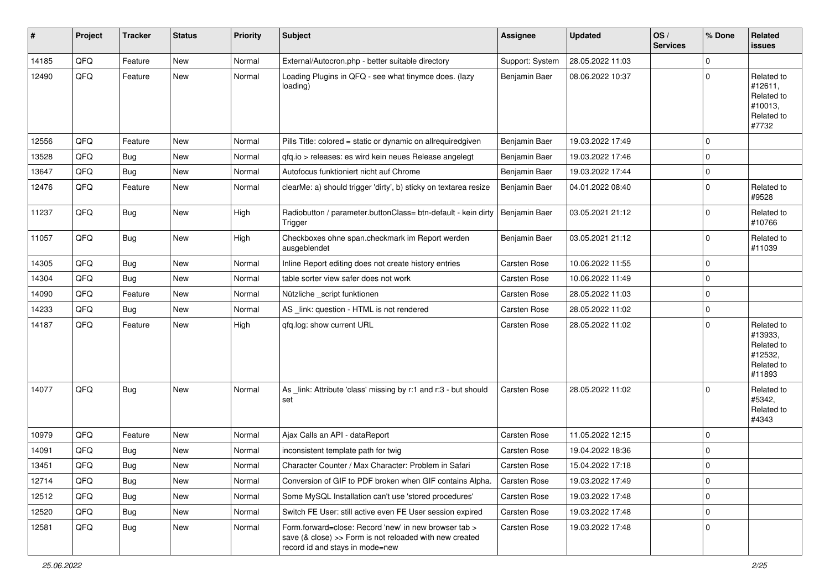| $\sharp$ | Project | <b>Tracker</b> | <b>Status</b> | <b>Priority</b> | <b>Subject</b>                                                                                                                                      | <b>Assignee</b>     | <b>Updated</b>   | OS/<br><b>Services</b> | % Done      | Related<br>issues                                                      |
|----------|---------|----------------|---------------|-----------------|-----------------------------------------------------------------------------------------------------------------------------------------------------|---------------------|------------------|------------------------|-------------|------------------------------------------------------------------------|
| 14185    | QFQ     | Feature        | <b>New</b>    | Normal          | External/Autocron.php - better suitable directory                                                                                                   | Support: System     | 28.05.2022 11:03 |                        | 0           |                                                                        |
| 12490    | QFQ     | Feature        | New           | Normal          | Loading Plugins in QFQ - see what tinymce does. (lazy<br>loading)                                                                                   | Benjamin Baer       | 08.06.2022 10:37 |                        | $\mathbf 0$ | Related to<br>#12611,<br>Related to<br>#10013,<br>Related to<br>#7732  |
| 12556    | QFQ     | Feature        | New           | Normal          | Pills Title: colored = static or dynamic on allrequiredgiven                                                                                        | Benjamin Baer       | 19.03.2022 17:49 |                        | $\mathbf 0$ |                                                                        |
| 13528    | QFQ     | <b>Bug</b>     | <b>New</b>    | Normal          | qfq.io > releases: es wird kein neues Release angelegt                                                                                              | Benjamin Baer       | 19.03.2022 17:46 |                        | $\mathbf 0$ |                                                                        |
| 13647    | QFQ     | Bug            | New           | Normal          | Autofocus funktioniert nicht auf Chrome                                                                                                             | Benjamin Baer       | 19.03.2022 17:44 |                        | $\pmb{0}$   |                                                                        |
| 12476    | QFQ     | Feature        | New           | Normal          | clearMe: a) should trigger 'dirty', b) sticky on textarea resize                                                                                    | Benjamin Baer       | 04.01.2022 08:40 |                        | $\mathbf 0$ | Related to<br>#9528                                                    |
| 11237    | QFQ     | Bug            | New           | High            | Radiobutton / parameter.buttonClass= btn-default - kein dirty<br>Trigger                                                                            | Benjamin Baer       | 03.05.2021 21:12 |                        | $\mathbf 0$ | Related to<br>#10766                                                   |
| 11057    | QFQ     | Bug            | New           | High            | Checkboxes ohne span.checkmark im Report werden<br>ausgeblendet                                                                                     | Benjamin Baer       | 03.05.2021 21:12 |                        | $\mathbf 0$ | Related to<br>#11039                                                   |
| 14305    | QFQ     | <b>Bug</b>     | <b>New</b>    | Normal          | Inline Report editing does not create history entries                                                                                               | Carsten Rose        | 10.06.2022 11:55 |                        | $\mathbf 0$ |                                                                        |
| 14304    | QFQ     | Bug            | New           | Normal          | table sorter view safer does not work                                                                                                               | Carsten Rose        | 10.06.2022 11:49 |                        | $\mathbf 0$ |                                                                        |
| 14090    | QFQ     | Feature        | <b>New</b>    | Normal          | Nützliche _script funktionen                                                                                                                        | Carsten Rose        | 28.05.2022 11:03 |                        | 0           |                                                                        |
| 14233    | QFQ     | <b>Bug</b>     | New           | Normal          | AS _link: question - HTML is not rendered                                                                                                           | <b>Carsten Rose</b> | 28.05.2022 11:02 |                        | $\mathbf 0$ |                                                                        |
| 14187    | QFQ     | Feature        | New           | High            | qfq.log: show current URL                                                                                                                           | Carsten Rose        | 28.05.2022 11:02 |                        | $\mathbf 0$ | Related to<br>#13933,<br>Related to<br>#12532,<br>Related to<br>#11893 |
| 14077    | QFQ     | <b>Bug</b>     | <b>New</b>    | Normal          | As _link: Attribute 'class' missing by r:1 and r:3 - but should<br>set                                                                              | <b>Carsten Rose</b> | 28.05.2022 11:02 |                        | $\mathbf 0$ | Related to<br>#5342,<br>Related to<br>#4343                            |
| 10979    | QFQ     | Feature        | <b>New</b>    | Normal          | Ajax Calls an API - dataReport                                                                                                                      | Carsten Rose        | 11.05.2022 12:15 |                        | $\mathbf 0$ |                                                                        |
| 14091    | QFQ     | <b>Bug</b>     | New           | Normal          | inconsistent template path for twig                                                                                                                 | <b>Carsten Rose</b> | 19.04.2022 18:36 |                        | 0           |                                                                        |
| 13451    | QFQ     | Bug            | New           | Normal          | Character Counter / Max Character: Problem in Safari                                                                                                | <b>Carsten Rose</b> | 15.04.2022 17:18 |                        | $\mathbf 0$ |                                                                        |
| 12714    | QFQ     | Bug            | New           | Normal          | Conversion of GIF to PDF broken when GIF contains Alpha.                                                                                            | Carsten Rose        | 19.03.2022 17:49 |                        | $\pmb{0}$   |                                                                        |
| 12512    | QFQ     | Bug            | New           | Normal          | Some MySQL Installation can't use 'stored procedures'                                                                                               | Carsten Rose        | 19.03.2022 17:48 |                        | $\pmb{0}$   |                                                                        |
| 12520    | QFQ     | <b>Bug</b>     | New           | Normal          | Switch FE User: still active even FE User session expired                                                                                           | Carsten Rose        | 19.03.2022 17:48 |                        | $\pmb{0}$   |                                                                        |
| 12581    | QFQ     | <b>Bug</b>     | New           | Normal          | Form.forward=close: Record 'new' in new browser tab ><br>save (& close) >> Form is not reloaded with new created<br>record id and stays in mode=new | Carsten Rose        | 19.03.2022 17:48 |                        | $\mathbf 0$ |                                                                        |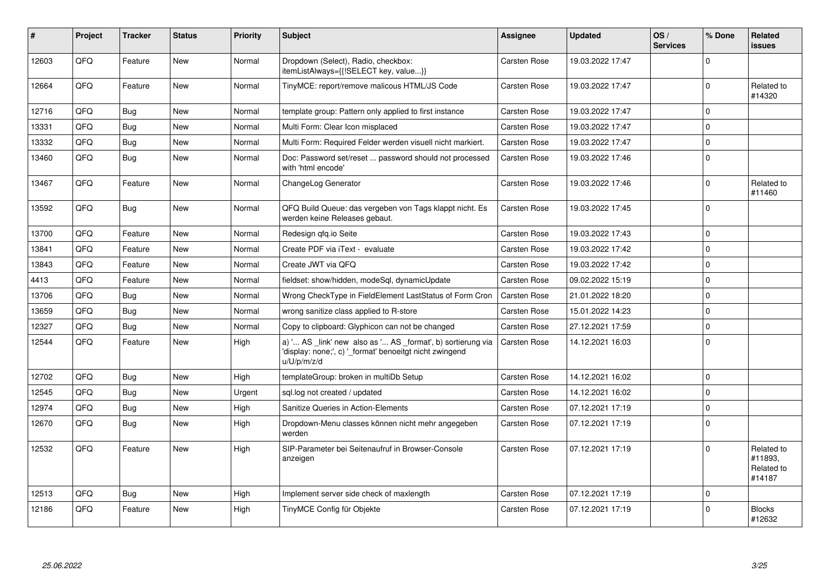| #     | Project | <b>Tracker</b> | <b>Status</b> | <b>Priority</b> | <b>Subject</b>                                                                                                                        | <b>Assignee</b>     | <b>Updated</b>   | OS/<br><b>Services</b> | % Done      | Related<br><b>issues</b>                      |
|-------|---------|----------------|---------------|-----------------|---------------------------------------------------------------------------------------------------------------------------------------|---------------------|------------------|------------------------|-------------|-----------------------------------------------|
| 12603 | QFQ     | Feature        | <b>New</b>    | Normal          | Dropdown (Select), Radio, checkbox:<br>itemListAlways={{!SELECT key, value}}                                                          | Carsten Rose        | 19.03.2022 17:47 |                        | $\Omega$    |                                               |
| 12664 | QFQ     | Feature        | <b>New</b>    | Normal          | TinyMCE: report/remove malicous HTML/JS Code                                                                                          | Carsten Rose        | 19.03.2022 17:47 |                        | $\Omega$    | Related to<br>#14320                          |
| 12716 | QFQ     | <b>Bug</b>     | <b>New</b>    | Normal          | template group: Pattern only applied to first instance                                                                                | <b>Carsten Rose</b> | 19.03.2022 17:47 |                        | $\Omega$    |                                               |
| 13331 | QFQ     | <b>Bug</b>     | <b>New</b>    | Normal          | Multi Form: Clear Icon misplaced                                                                                                      | Carsten Rose        | 19.03.2022 17:47 |                        | $\Omega$    |                                               |
| 13332 | QFQ     | Bug            | <b>New</b>    | Normal          | Multi Form: Required Felder werden visuell nicht markiert.                                                                            | <b>Carsten Rose</b> | 19.03.2022 17:47 |                        | $\Omega$    |                                               |
| 13460 | QFQ     | <b>Bug</b>     | <b>New</b>    | Normal          | Doc: Password set/reset  password should not processed<br>with 'html encode'                                                          | Carsten Rose        | 19.03.2022 17:46 |                        | $\Omega$    |                                               |
| 13467 | QFQ     | Feature        | <b>New</b>    | Normal          | ChangeLog Generator                                                                                                                   | <b>Carsten Rose</b> | 19.03.2022 17:46 |                        | $\Omega$    | Related to<br>#11460                          |
| 13592 | QFQ     | Bug            | <b>New</b>    | Normal          | QFQ Build Queue: das vergeben von Tags klappt nicht. Es<br>werden keine Releases gebaut.                                              | Carsten Rose        | 19.03.2022 17:45 |                        | $\Omega$    |                                               |
| 13700 | QFQ     | Feature        | <b>New</b>    | Normal          | Redesign gfg.io Seite                                                                                                                 | <b>Carsten Rose</b> | 19.03.2022 17:43 |                        | $\Omega$    |                                               |
| 13841 | QFQ     | Feature        | <b>New</b>    | Normal          | Create PDF via iText - evaluate                                                                                                       | <b>Carsten Rose</b> | 19.03.2022 17:42 |                        | $\Omega$    |                                               |
| 13843 | QFQ     | Feature        | <b>New</b>    | Normal          | Create JWT via QFQ                                                                                                                    | Carsten Rose        | 19.03.2022 17:42 |                        | $\Omega$    |                                               |
| 4413  | QFQ     | Feature        | <b>New</b>    | Normal          | fieldset: show/hidden, modeSql, dynamicUpdate                                                                                         | <b>Carsten Rose</b> | 09.02.2022 15:19 |                        | $\Omega$    |                                               |
| 13706 | QFQ     | Bug            | <b>New</b>    | Normal          | Wrong CheckType in FieldElement LastStatus of Form Cron                                                                               | <b>Carsten Rose</b> | 21.01.2022 18:20 |                        | $\mathbf 0$ |                                               |
| 13659 | QFQ     | Bug            | <b>New</b>    | Normal          | wrong sanitize class applied to R-store                                                                                               | <b>Carsten Rose</b> | 15.01.2022 14:23 |                        | $\Omega$    |                                               |
| 12327 | QFQ     | Bug            | <b>New</b>    | Normal          | Copy to clipboard: Glyphicon can not be changed                                                                                       | <b>Carsten Rose</b> | 27.12.2021 17:59 |                        | $\Omega$    |                                               |
| 12544 | QFQ     | Feature        | <b>New</b>    | High            | a) ' AS _link' new also as ' AS _format', b) sortierung via<br>'display: none;', c) '_format' benoeitgt nicht zwingend<br>u/U/p/m/z/d | <b>Carsten Rose</b> | 14.12.2021 16:03 |                        | $\Omega$    |                                               |
| 12702 | QFQ     | <b>Bug</b>     | <b>New</b>    | High            | templateGroup: broken in multiDb Setup                                                                                                | <b>Carsten Rose</b> | 14.12.2021 16:02 |                        | $\Omega$    |                                               |
| 12545 | QFQ     | Bug            | <b>New</b>    | Urgent          | sql.log not created / updated                                                                                                         | Carsten Rose        | 14.12.2021 16:02 |                        | $\Omega$    |                                               |
| 12974 | QFQ     | <b>Bug</b>     | <b>New</b>    | High            | Sanitize Queries in Action-Elements                                                                                                   | <b>Carsten Rose</b> | 07.12.2021 17:19 |                        | $\Omega$    |                                               |
| 12670 | QFQ     | <b>Bug</b>     | <b>New</b>    | High            | Dropdown-Menu classes können nicht mehr angegeben<br>werden                                                                           | <b>Carsten Rose</b> | 07.12.2021 17:19 |                        | $\Omega$    |                                               |
| 12532 | QFQ     | Feature        | <b>New</b>    | High            | SIP-Parameter bei Seitenaufruf in Browser-Console<br>anzeigen                                                                         | Carsten Rose        | 07.12.2021 17:19 |                        | $\Omega$    | Related to<br>#11893,<br>Related to<br>#14187 |
| 12513 | QFQ     | <b>Bug</b>     | <b>New</b>    | High            | Implement server side check of maxlength                                                                                              | <b>Carsten Rose</b> | 07.12.2021 17:19 |                        | $\Omega$    |                                               |
| 12186 | QFQ     | Feature        | <b>New</b>    | High            | TinyMCE Config für Objekte                                                                                                            | <b>Carsten Rose</b> | 07.12.2021 17:19 |                        | $\Omega$    | <b>Blocks</b><br>#12632                       |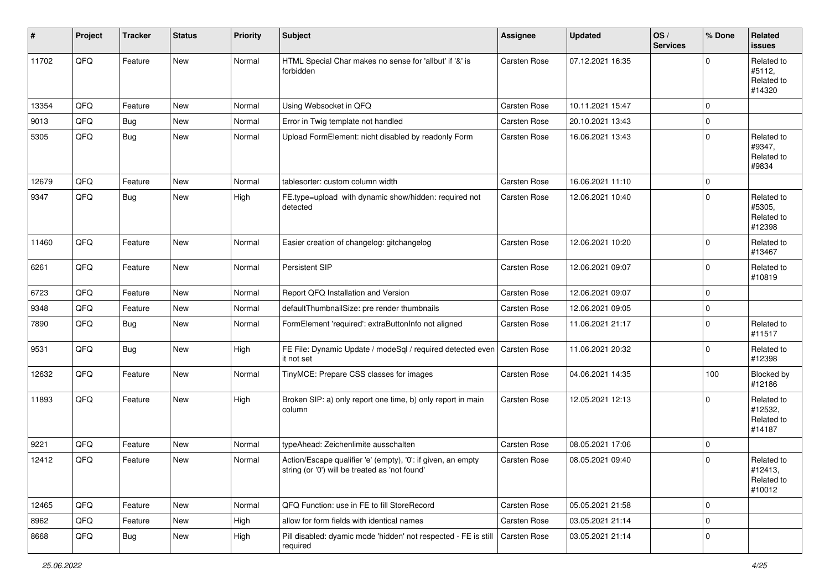| #     | Project | <b>Tracker</b> | <b>Status</b> | <b>Priority</b> | <b>Subject</b>                                                                                                 | Assignee     | <b>Updated</b>   | OS/<br><b>Services</b> | % Done   | Related<br><b>issues</b>                      |
|-------|---------|----------------|---------------|-----------------|----------------------------------------------------------------------------------------------------------------|--------------|------------------|------------------------|----------|-----------------------------------------------|
| 11702 | QFQ     | Feature        | New           | Normal          | HTML Special Char makes no sense for 'allbut' if '&' is<br>forbidden                                           | Carsten Rose | 07.12.2021 16:35 |                        | $\Omega$ | Related to<br>#5112,<br>Related to<br>#14320  |
| 13354 | QFQ     | Feature        | <b>New</b>    | Normal          | Using Websocket in QFQ                                                                                         | Carsten Rose | 10.11.2021 15:47 |                        | 0        |                                               |
| 9013  | QFQ     | Bug            | <b>New</b>    | Normal          | Error in Twig template not handled                                                                             | Carsten Rose | 20.10.2021 13:43 |                        | 0        |                                               |
| 5305  | QFQ     | Bug            | New           | Normal          | Upload FormElement: nicht disabled by readonly Form                                                            | Carsten Rose | 16.06.2021 13:43 |                        | 0        | Related to<br>#9347,<br>Related to<br>#9834   |
| 12679 | QFQ     | Feature        | <b>New</b>    | Normal          | tablesorter: custom column width                                                                               | Carsten Rose | 16.06.2021 11:10 |                        | 0        |                                               |
| 9347  | QFQ     | Bug            | <b>New</b>    | High            | FE.type=upload with dynamic show/hidden: required not<br>detected                                              | Carsten Rose | 12.06.2021 10:40 |                        | 0        | Related to<br>#5305,<br>Related to<br>#12398  |
| 11460 | QFQ     | Feature        | <b>New</b>    | Normal          | Easier creation of changelog: gitchangelog                                                                     | Carsten Rose | 12.06.2021 10:20 |                        | 0        | Related to<br>#13467                          |
| 6261  | QFQ     | Feature        | New           | Normal          | Persistent SIP                                                                                                 | Carsten Rose | 12.06.2021 09:07 |                        | 0        | Related to<br>#10819                          |
| 6723  | QFQ     | Feature        | <b>New</b>    | Normal          | Report QFQ Installation and Version                                                                            | Carsten Rose | 12.06.2021 09:07 |                        | 0        |                                               |
| 9348  | QFQ     | Feature        | <b>New</b>    | Normal          | defaultThumbnailSize: pre render thumbnails                                                                    | Carsten Rose | 12.06.2021 09:05 |                        | 0        |                                               |
| 7890  | QFQ     | Bug            | New           | Normal          | FormElement 'required': extraButtonInfo not aligned                                                            | Carsten Rose | 11.06.2021 21:17 |                        | 0        | Related to<br>#11517                          |
| 9531  | QFQ     | Bug            | New           | High            | FE File: Dynamic Update / modeSql / required detected even<br>it not set                                       | Carsten Rose | 11.06.2021 20:32 |                        | 0        | Related to<br>#12398                          |
| 12632 | QFQ     | Feature        | New           | Normal          | TinyMCE: Prepare CSS classes for images                                                                        | Carsten Rose | 04.06.2021 14:35 |                        | 100      | Blocked by<br>#12186                          |
| 11893 | QFQ     | Feature        | <b>New</b>    | High            | Broken SIP: a) only report one time, b) only report in main<br>column                                          | Carsten Rose | 12.05.2021 12:13 |                        | 0        | Related to<br>#12532,<br>Related to<br>#14187 |
| 9221  | QFQ     | Feature        | <b>New</b>    | Normal          | typeAhead: Zeichenlimite ausschalten                                                                           | Carsten Rose | 08.05.2021 17:06 |                        | 0        |                                               |
| 12412 | QFQ     | Feature        | <b>New</b>    | Normal          | Action/Escape qualifier 'e' (empty), '0': if given, an empty<br>string (or '0') will be treated as 'not found' | Carsten Rose | 08.05.2021 09:40 |                        | 0        | Related to<br>#12413,<br>Related to<br>#10012 |
| 12465 | QFQ     | Feature        | New           | Normal          | QFQ Function: use in FE to fill StoreRecord                                                                    | Carsten Rose | 05.05.2021 21:58 |                        | 0        |                                               |
| 8962  | QFQ     | Feature        | New           | High            | allow for form fields with identical names                                                                     | Carsten Rose | 03.05.2021 21:14 |                        | 0        |                                               |
| 8668  | QFQ     | <b>Bug</b>     | New           | High            | Pill disabled: dyamic mode 'hidden' not respected - FE is still   Carsten Rose<br>required                     |              | 03.05.2021 21:14 |                        | 0        |                                               |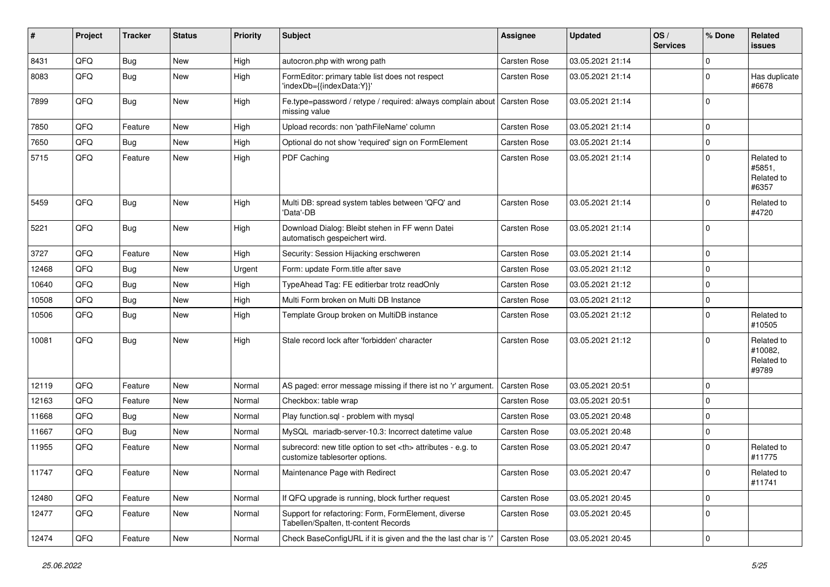| #     | Project | <b>Tracker</b> | <b>Status</b> | <b>Priority</b> | Subject                                                                                              | <b>Assignee</b>                                        | <b>Updated</b>      | OS/<br><b>Services</b> | % Done      | <b>Related</b><br><b>issues</b>              |                      |
|-------|---------|----------------|---------------|-----------------|------------------------------------------------------------------------------------------------------|--------------------------------------------------------|---------------------|------------------------|-------------|----------------------------------------------|----------------------|
| 8431  | QFQ     | <b>Bug</b>     | New           | High            | autocron.php with wrong path                                                                         | Carsten Rose                                           | 03.05.2021 21:14    |                        | 0           |                                              |                      |
| 8083  | QFQ     | <b>Bug</b>     | <b>New</b>    | High            | FormEditor: primary table list does not respect<br>'indexDb={{indexData:Y}}'                         | <b>Carsten Rose</b>                                    | 03.05.2021 21:14    |                        | $\mathbf 0$ | Has duplicate<br>#6678                       |                      |
| 7899  | QFQ     | <b>Bug</b>     | New           | High            | Fe.type=password / retype / required: always complain about   Carsten Rose<br>missing value          |                                                        | 03.05.2021 21:14    |                        | $\mathbf 0$ |                                              |                      |
| 7850  | QFQ     | Feature        | <b>New</b>    | High            | Upload records: non 'pathFileName' column                                                            | Carsten Rose                                           | 03.05.2021 21:14    |                        | $\mathbf 0$ |                                              |                      |
| 7650  | QFQ     | <b>Bug</b>     | <b>New</b>    | High            | Optional do not show 'required' sign on FormElement                                                  | <b>Carsten Rose</b>                                    | 03.05.2021 21:14    |                        | 0           |                                              |                      |
| 5715  | QFQ     | Feature        | New           | High            | PDF Caching                                                                                          | <b>Carsten Rose</b>                                    | 03.05.2021 21:14    |                        | $\mathbf 0$ | Related to<br>#5851,<br>Related to<br>#6357  |                      |
| 5459  | QFQ     | <b>Bug</b>     | <b>New</b>    | High            | Multi DB: spread system tables between 'QFQ' and<br>'Data'-DB                                        | <b>Carsten Rose</b>                                    | 03.05.2021 21:14    |                        | $\mathbf 0$ | Related to<br>#4720                          |                      |
| 5221  | QFQ     | Bug            | <b>New</b>    | High            | Download Dialog: Bleibt stehen in FF wenn Datei<br>automatisch gespeichert wird.                     | <b>Carsten Rose</b>                                    | 03.05.2021 21:14    |                        | $\mathbf 0$ |                                              |                      |
| 3727  | QFQ     | Feature        | <b>New</b>    | High            | Security: Session Hijacking erschweren                                                               | Carsten Rose                                           | 03.05.2021 21:14    |                        | $\pmb{0}$   |                                              |                      |
| 12468 | QFQ     | Bug            | <b>New</b>    | Urgent          | Form: update Form.title after save                                                                   | Carsten Rose                                           | 03.05.2021 21:12    |                        | $\mathbf 0$ |                                              |                      |
| 10640 | QFQ     | <b>Bug</b>     | New           | High            | TypeAhead Tag: FE editierbar trotz readOnly                                                          | <b>Carsten Rose</b>                                    | 03.05.2021 21:12    |                        | $\pmb{0}$   |                                              |                      |
| 10508 | QFQ     | <b>Bug</b>     | <b>New</b>    | High            | Multi Form broken on Multi DB Instance                                                               | <b>Carsten Rose</b>                                    | 03.05.2021 21:12    |                        | $\mathbf 0$ |                                              |                      |
| 10506 | QFQ     | <b>Bug</b>     | <b>New</b>    | High            | Template Group broken on MultiDB instance                                                            | <b>Carsten Rose</b>                                    | 03.05.2021 21:12    |                        | $\Omega$    | Related to<br>#10505                         |                      |
| 10081 | QFQ     | Bug            | New           | High            | Stale record lock after 'forbidden' character                                                        | <b>Carsten Rose</b>                                    | 03.05.2021 21:12    |                        | $\mathbf 0$ | Related to<br>#10082.<br>Related to<br>#9789 |                      |
| 12119 | QFQ     | Feature        | <b>New</b>    | Normal          | AS paged: error message missing if there ist no 'r' argument.                                        | <b>Carsten Rose</b>                                    | 03.05.2021 20:51    |                        | $\mathbf 0$ |                                              |                      |
| 12163 | QFQ     | Feature        | <b>New</b>    | Normal          | Checkbox: table wrap                                                                                 | <b>Carsten Rose</b>                                    | 03.05.2021 20:51    |                        | 0           |                                              |                      |
| 11668 | QFQ     | Bug            | <b>New</b>    | Normal          | Play function.sql - problem with mysql                                                               | Carsten Rose                                           | 03.05.2021 20:48    |                        | $\mathbf 0$ |                                              |                      |
| 11667 | QFQ     | <b>Bug</b>     | <b>New</b>    | Normal          | MvSQL mariadb-server-10.3: Incorrect datetime value                                                  | <b>Carsten Rose</b>                                    | 03.05.2021 20:48    |                        | 0           |                                              |                      |
| 11955 | QFQ     | Feature        | <b>New</b>    | Normal          | subrecord: new title option to set <th> attributes - e.g. to<br/>customize tablesorter options.</th> | attributes - e.g. to<br>customize tablesorter options. | <b>Carsten Rose</b> | 03.05.2021 20:47       |             | $\mathbf 0$                                  | Related to<br>#11775 |
| 11747 | QFQ     | Feature        | New           | Normal          | Maintenance Page with Redirect                                                                       | Carsten Rose                                           | 03.05.2021 20:47    |                        | $\mathbf 0$ | Related to<br>#11741                         |                      |
| 12480 | QFQ     | Feature        | New           | Normal          | If QFQ upgrade is running, block further request                                                     | Carsten Rose                                           | 03.05.2021 20:45    |                        | $\mathbf 0$ |                                              |                      |
| 12477 | QFQ     | Feature        | New           | Normal          | Support for refactoring: Form, FormElement, diverse<br>Tabellen/Spalten, tt-content Records          | Carsten Rose                                           | 03.05.2021 20:45    |                        | $\pmb{0}$   |                                              |                      |
| 12474 | QFQ     | Feature        | New           | Normal          | Check BaseConfigURL if it is given and the the last char is '/'                                      | Carsten Rose                                           | 03.05.2021 20:45    |                        | $\pmb{0}$   |                                              |                      |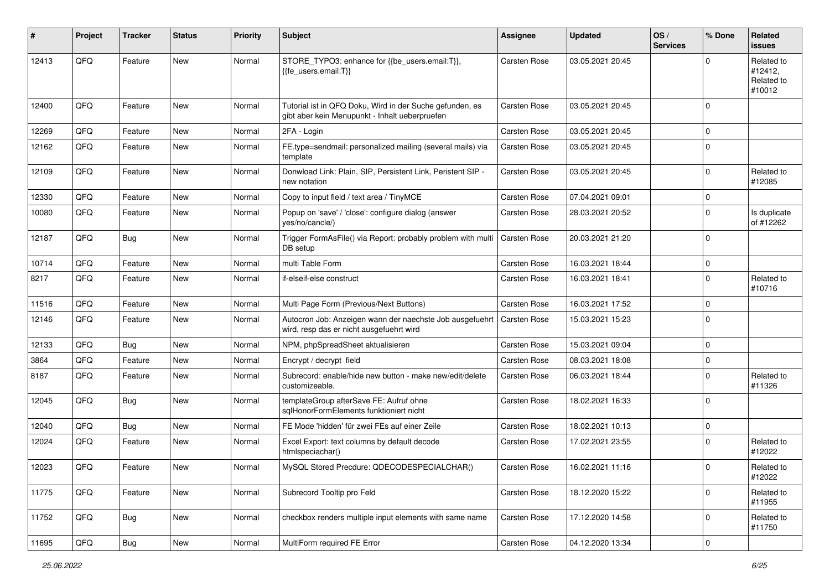| #     | Project | <b>Tracker</b> | <b>Status</b> | <b>Priority</b> | <b>Subject</b>                                                                                             | <b>Assignee</b>     | <b>Updated</b>   | OS/<br><b>Services</b> | % Done      | Related<br>issues                             |
|-------|---------|----------------|---------------|-----------------|------------------------------------------------------------------------------------------------------------|---------------------|------------------|------------------------|-------------|-----------------------------------------------|
| 12413 | QFQ     | Feature        | <b>New</b>    | Normal          | STORE_TYPO3: enhance for {{be_users.email:T}},<br>{{fe users.email:T}}                                     | <b>Carsten Rose</b> | 03.05.2021 20:45 |                        | $\Omega$    | Related to<br>#12412.<br>Related to<br>#10012 |
| 12400 | QFQ     | Feature        | New           | Normal          | Tutorial ist in QFQ Doku, Wird in der Suche gefunden, es<br>gibt aber kein Menupunkt - Inhalt ueberpruefen | <b>Carsten Rose</b> | 03.05.2021 20:45 |                        | $\mathbf 0$ |                                               |
| 12269 | QFQ     | Feature        | <b>New</b>    | Normal          | 2FA - Login                                                                                                | <b>Carsten Rose</b> | 03.05.2021 20:45 |                        | 0           |                                               |
| 12162 | QFQ     | Feature        | <b>New</b>    | Normal          | FE.type=sendmail: personalized mailing (several mails) via<br>template                                     | Carsten Rose        | 03.05.2021 20:45 |                        | $\mathbf 0$ |                                               |
| 12109 | QFQ     | Feature        | New           | Normal          | Donwload Link: Plain, SIP, Persistent Link, Peristent SIP -<br>new notation                                | <b>Carsten Rose</b> | 03.05.2021 20:45 |                        | $\mathbf 0$ | Related to<br>#12085                          |
| 12330 | QFQ     | Feature        | New           | Normal          | Copy to input field / text area / TinyMCE                                                                  | <b>Carsten Rose</b> | 07.04.2021 09:01 |                        | 0           |                                               |
| 10080 | QFQ     | Feature        | <b>New</b>    | Normal          | Popup on 'save' / 'close': configure dialog (answer<br>yes/no/cancle/)                                     | <b>Carsten Rose</b> | 28.03.2021 20:52 |                        | $\mathbf 0$ | Is duplicate<br>of #12262                     |
| 12187 | QFQ     | Bug            | New           | Normal          | Trigger FormAsFile() via Report: probably problem with multi<br>DB setup                                   | <b>Carsten Rose</b> | 20.03.2021 21:20 |                        | $\mathbf 0$ |                                               |
| 10714 | QFQ     | Feature        | <b>New</b>    | Normal          | multi Table Form                                                                                           | <b>Carsten Rose</b> | 16.03.2021 18:44 |                        | $\mathbf 0$ |                                               |
| 8217  | QFQ     | Feature        | New           | Normal          | if-elseif-else construct                                                                                   | Carsten Rose        | 16.03.2021 18:41 |                        | $\mathbf 0$ | Related to<br>#10716                          |
| 11516 | QFQ     | Feature        | <b>New</b>    | Normal          | Multi Page Form (Previous/Next Buttons)                                                                    | <b>Carsten Rose</b> | 16.03.2021 17:52 |                        | $\mathbf 0$ |                                               |
| 12146 | QFQ     | Feature        | <b>New</b>    | Normal          | Autocron Job: Anzeigen wann der naechste Job ausgefuehrt<br>wird, resp das er nicht ausgefuehrt wird       | <b>Carsten Rose</b> | 15.03.2021 15:23 |                        | $\mathbf 0$ |                                               |
| 12133 | QFQ     | Bug            | New           | Normal          | NPM, phpSpreadSheet aktualisieren                                                                          | <b>Carsten Rose</b> | 15.03.2021 09:04 |                        | $\mathbf 0$ |                                               |
| 3864  | QFQ     | Feature        | <b>New</b>    | Normal          | Encrypt / decrypt field                                                                                    | <b>Carsten Rose</b> | 08.03.2021 18:08 |                        | 0           |                                               |
| 8187  | QFQ     | Feature        | New           | Normal          | Subrecord: enable/hide new button - make new/edit/delete<br>customizeable.                                 | Carsten Rose        | 06.03.2021 18:44 |                        | $\mathbf 0$ | Related to<br>#11326                          |
| 12045 | QFQ     | Bug            | <b>New</b>    | Normal          | templateGroup afterSave FE: Aufruf ohne<br>sqlHonorFormElements funktioniert nicht                         | <b>Carsten Rose</b> | 18.02.2021 16:33 |                        | 0           |                                               |
| 12040 | QFQ     | Bug            | <b>New</b>    | Normal          | FE Mode 'hidden' für zwei FEs auf einer Zeile                                                              | <b>Carsten Rose</b> | 18.02.2021 10:13 |                        | $\pmb{0}$   |                                               |
| 12024 | QFQ     | Feature        | <b>New</b>    | Normal          | Excel Export: text columns by default decode<br>htmlspeciachar()                                           | <b>Carsten Rose</b> | 17.02.2021 23:55 |                        | 0           | Related to<br>#12022                          |
| 12023 | QFQ     | Feature        | New           | Normal          | MySQL Stored Precdure: QDECODESPECIALCHAR()                                                                | Carsten Rose        | 16.02.2021 11:16 |                        | $\pmb{0}$   | Related to<br>#12022                          |
| 11775 | QFQ     | Feature        | New           | Normal          | Subrecord Tooltip pro Feld                                                                                 | Carsten Rose        | 18.12.2020 15:22 |                        | $\pmb{0}$   | Related to<br>#11955                          |
| 11752 | QFQ     | Bug            | New           | Normal          | checkbox renders multiple input elements with same name                                                    | Carsten Rose        | 17.12.2020 14:58 |                        | $\mathbf 0$ | Related to<br>#11750                          |
| 11695 | QFQ     | Bug            | New           | Normal          | MultiForm required FE Error                                                                                | Carsten Rose        | 04.12.2020 13:34 |                        | $\pmb{0}$   |                                               |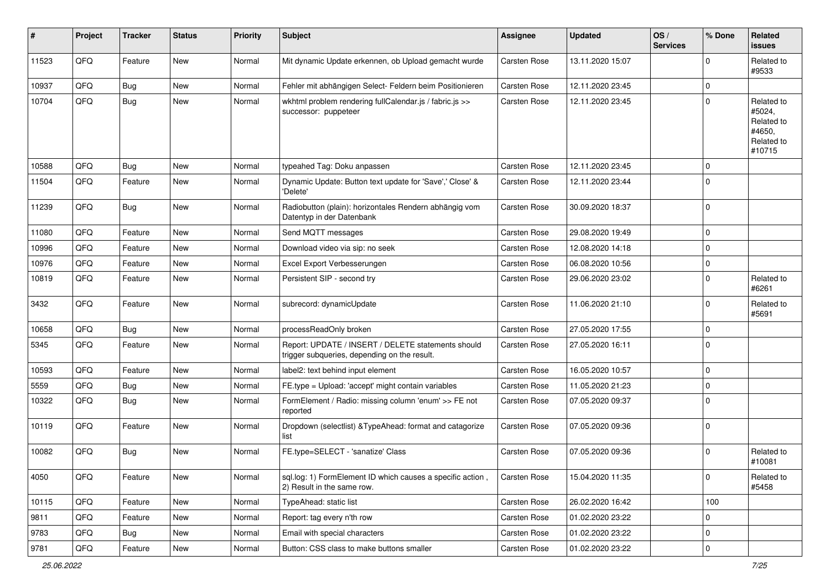| #     | Project | <b>Tracker</b> | <b>Status</b> | <b>Priority</b> | <b>Subject</b>                                                                                     | <b>Assignee</b>     | <b>Updated</b>   | OS/<br><b>Services</b> | % Done      | Related<br><b>issues</b>                                             |
|-------|---------|----------------|---------------|-----------------|----------------------------------------------------------------------------------------------------|---------------------|------------------|------------------------|-------------|----------------------------------------------------------------------|
| 11523 | QFQ     | Feature        | New           | Normal          | Mit dynamic Update erkennen, ob Upload gemacht wurde                                               | Carsten Rose        | 13.11.2020 15:07 |                        | $\mathbf 0$ | Related to<br>#9533                                                  |
| 10937 | QFQ     | <b>Bug</b>     | <b>New</b>    | Normal          | Fehler mit abhängigen Select- Feldern beim Positionieren                                           | Carsten Rose        | 12.11.2020 23:45 |                        | $\mathbf 0$ |                                                                      |
| 10704 | QFQ     | Bug            | <b>New</b>    | Normal          | wkhtml problem rendering fullCalendar.js / fabric.js >><br>successor: puppeteer                    | Carsten Rose        | 12.11.2020 23:45 |                        | $\mathbf 0$ | Related to<br>#5024,<br>Related to<br>#4650,<br>Related to<br>#10715 |
| 10588 | QFQ     | Bug            | <b>New</b>    | Normal          | typeahed Tag: Doku anpassen                                                                        | Carsten Rose        | 12.11.2020 23:45 |                        | $\mathbf 0$ |                                                                      |
| 11504 | QFQ     | Feature        | New           | Normal          | Dynamic Update: Button text update for 'Save',' Close' &<br>'Delete'                               | <b>Carsten Rose</b> | 12.11.2020 23:44 |                        | $\mathbf 0$ |                                                                      |
| 11239 | QFQ     | Bug            | <b>New</b>    | Normal          | Radiobutton (plain): horizontales Rendern abhängig vom<br>Datentyp in der Datenbank                | Carsten Rose        | 30.09.2020 18:37 |                        | $\mathbf 0$ |                                                                      |
| 11080 | QFQ     | Feature        | <b>New</b>    | Normal          | Send MQTT messages                                                                                 | Carsten Rose        | 29.08.2020 19:49 |                        | $\mathbf 0$ |                                                                      |
| 10996 | QFQ     | Feature        | New           | Normal          | Download video via sip: no seek                                                                    | Carsten Rose        | 12.08.2020 14:18 |                        | $\mathbf 0$ |                                                                      |
| 10976 | QFQ     | Feature        | <b>New</b>    | Normal          | Excel Export Verbesserungen                                                                        | Carsten Rose        | 06.08.2020 10:56 |                        | $\mathbf 0$ |                                                                      |
| 10819 | QFQ     | Feature        | New           | Normal          | Persistent SIP - second try                                                                        | Carsten Rose        | 29.06.2020 23:02 |                        | $\mathbf 0$ | Related to<br>#6261                                                  |
| 3432  | QFQ     | Feature        | <b>New</b>    | Normal          | subrecord: dynamicUpdate                                                                           | Carsten Rose        | 11.06.2020 21:10 |                        | $\mathbf 0$ | Related to<br>#5691                                                  |
| 10658 | QFQ     | <b>Bug</b>     | <b>New</b>    | Normal          | processReadOnly broken                                                                             | Carsten Rose        | 27.05.2020 17:55 |                        | $\mathbf 0$ |                                                                      |
| 5345  | QFQ     | Feature        | New           | Normal          | Report: UPDATE / INSERT / DELETE statements should<br>trigger subqueries, depending on the result. | Carsten Rose        | 27.05.2020 16:11 |                        | $\Omega$    |                                                                      |
| 10593 | QFQ     | Feature        | <b>New</b>    | Normal          | label2: text behind input element                                                                  | Carsten Rose        | 16.05.2020 10:57 |                        | $\mathbf 0$ |                                                                      |
| 5559  | QFQ     | <b>Bug</b>     | <b>New</b>    | Normal          | FE.type = Upload: 'accept' might contain variables                                                 | Carsten Rose        | 11.05.2020 21:23 |                        | $\mathbf 0$ |                                                                      |
| 10322 | QFQ     | <b>Bug</b>     | New           | Normal          | FormElement / Radio: missing column 'enum' >> FE not<br>reported                                   | Carsten Rose        | 07.05.2020 09:37 |                        | $\Omega$    |                                                                      |
| 10119 | QFQ     | Feature        | New           | Normal          | Dropdown (selectlist) & TypeAhead: format and catagorize<br>list                                   | Carsten Rose        | 07.05.2020 09:36 |                        | $\mathbf 0$ |                                                                      |
| 10082 | QFQ     | <b>Bug</b>     | <b>New</b>    | Normal          | FE.type=SELECT - 'sanatize' Class                                                                  | Carsten Rose        | 07.05.2020 09:36 |                        | $\Omega$    | Related to<br>#10081                                                 |
| 4050  | QFQ     | Feature        | New           | Normal          | sql.log: 1) FormElement ID which causes a specific action,<br>2) Result in the same row.           | Carsten Rose        | 15.04.2020 11:35 |                        | $\mathbf 0$ | Related to<br>#5458                                                  |
| 10115 | QFQ     | Feature        | New           | Normal          | TypeAhead: static list                                                                             | Carsten Rose        | 26.02.2020 16:42 |                        | 100         |                                                                      |
| 9811  | QFQ     | Feature        | New           | Normal          | Report: tag every n'th row                                                                         | Carsten Rose        | 01.02.2020 23:22 |                        | $\mathbf 0$ |                                                                      |
| 9783  | QFQ     | Bug            | New           | Normal          | Email with special characters                                                                      | Carsten Rose        | 01.02.2020 23:22 |                        | $\pmb{0}$   |                                                                      |
| 9781  | QFQ     | Feature        | New           | Normal          | Button: CSS class to make buttons smaller                                                          | Carsten Rose        | 01.02.2020 23:22 |                        | $\pmb{0}$   |                                                                      |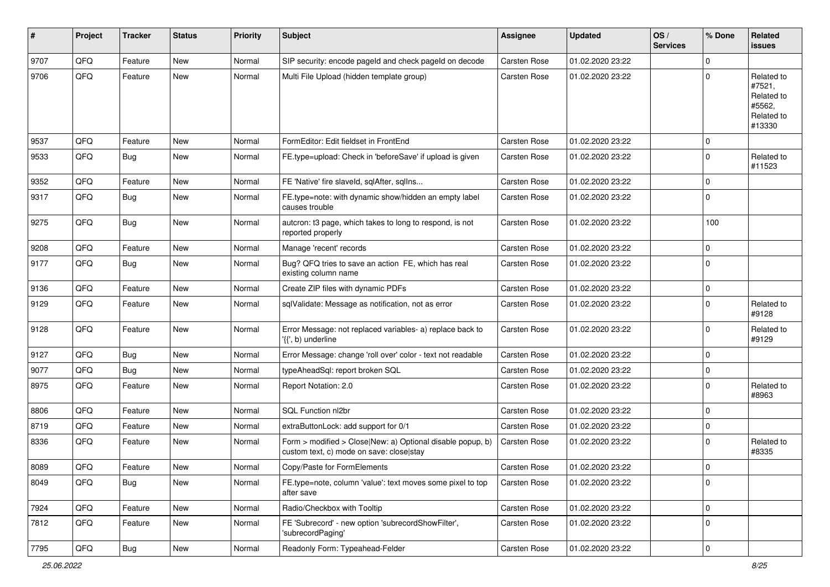| #    | Project | <b>Tracker</b> | <b>Status</b> | <b>Priority</b> | <b>Subject</b>                                                                                         | Assignee            | <b>Updated</b>   | OS/<br><b>Services</b> | % Done      | Related<br>issues                                                    |
|------|---------|----------------|---------------|-----------------|--------------------------------------------------------------------------------------------------------|---------------------|------------------|------------------------|-------------|----------------------------------------------------------------------|
| 9707 | QFQ     | Feature        | <b>New</b>    | Normal          | SIP security: encode pageld and check pageld on decode                                                 | Carsten Rose        | 01.02.2020 23:22 |                        | $\mathbf 0$ |                                                                      |
| 9706 | QFQ     | Feature        | <b>New</b>    | Normal          | Multi File Upload (hidden template group)                                                              | <b>Carsten Rose</b> | 01.02.2020 23:22 |                        | $\mathbf 0$ | Related to<br>#7521,<br>Related to<br>#5562,<br>Related to<br>#13330 |
| 9537 | QFQ     | Feature        | <b>New</b>    | Normal          | FormEditor: Edit fieldset in FrontEnd                                                                  | <b>Carsten Rose</b> | 01.02.2020 23:22 |                        | 0           |                                                                      |
| 9533 | QFQ     | Bug            | New           | Normal          | FE.type=upload: Check in 'beforeSave' if upload is given                                               | Carsten Rose        | 01.02.2020 23:22 |                        | $\mathbf 0$ | Related to<br>#11523                                                 |
| 9352 | QFQ     | Feature        | <b>New</b>    | Normal          | FE 'Native' fire slaveld, sqlAfter, sqlIns                                                             | Carsten Rose        | 01.02.2020 23:22 |                        | $\mathbf 0$ |                                                                      |
| 9317 | QFQ     | Bug            | <b>New</b>    | Normal          | FE.type=note: with dynamic show/hidden an empty label<br>causes trouble                                | Carsten Rose        | 01.02.2020 23:22 |                        | $\mathbf 0$ |                                                                      |
| 9275 | QFQ     | Bug            | <b>New</b>    | Normal          | autcron: t3 page, which takes to long to respond, is not<br>reported properly                          | Carsten Rose        | 01.02.2020 23:22 |                        | 100         |                                                                      |
| 9208 | QFQ     | Feature        | <b>New</b>    | Normal          | Manage 'recent' records                                                                                | Carsten Rose        | 01.02.2020 23:22 |                        | $\mathbf 0$ |                                                                      |
| 9177 | QFQ     | Bug            | New           | Normal          | Bug? QFQ tries to save an action FE, which has real<br>existing column name                            | Carsten Rose        | 01.02.2020 23:22 |                        | $\mathbf 0$ |                                                                      |
| 9136 | QFQ     | Feature        | <b>New</b>    | Normal          | Create ZIP files with dynamic PDFs                                                                     | Carsten Rose        | 01.02.2020 23:22 |                        | 0           |                                                                      |
| 9129 | QFQ     | Feature        | New           | Normal          | sqlValidate: Message as notification, not as error                                                     | Carsten Rose        | 01.02.2020 23:22 |                        | $\mathbf 0$ | Related to<br>#9128                                                  |
| 9128 | QFQ     | Feature        | <b>New</b>    | Normal          | Error Message: not replaced variables- a) replace back to<br>'{{', b) underline                        | Carsten Rose        | 01.02.2020 23:22 |                        | $\mathbf 0$ | Related to<br>#9129                                                  |
| 9127 | QFQ     | Bug            | <b>New</b>    | Normal          | Error Message: change 'roll over' color - text not readable                                            | Carsten Rose        | 01.02.2020 23:22 |                        | 0           |                                                                      |
| 9077 | QFQ     | Bug            | <b>New</b>    | Normal          | typeAheadSql: report broken SQL                                                                        | Carsten Rose        | 01.02.2020 23:22 |                        | $\mathbf 0$ |                                                                      |
| 8975 | QFQ     | Feature        | <b>New</b>    | Normal          | Report Notation: 2.0                                                                                   | Carsten Rose        | 01.02.2020 23:22 |                        | $\mathbf 0$ | Related to<br>#8963                                                  |
| 8806 | QFQ     | Feature        | <b>New</b>    | Normal          | SQL Function nl2br                                                                                     | Carsten Rose        | 01.02.2020 23:22 |                        | $\mathbf 0$ |                                                                      |
| 8719 | QFQ     | Feature        | New           | Normal          | extraButtonLock: add support for 0/1                                                                   | Carsten Rose        | 01.02.2020 23:22 |                        | 0           |                                                                      |
| 8336 | QFQ     | Feature        | New           | Normal          | Form > modified > Close New: a) Optional disable popup, b)<br>custom text, c) mode on save: close stay | Carsten Rose        | 01.02.2020 23:22 |                        | $\mathbf 0$ | Related to<br>#8335                                                  |
| 8089 | QFQ     | Feature        | New           | Normal          | Copy/Paste for FormElements                                                                            | <b>Carsten Rose</b> | 01.02.2020 23:22 |                        | $\mathbf 0$ |                                                                      |
| 8049 | QFQ     | Bug            | New           | Normal          | FE.type=note, column 'value': text moves some pixel to top<br>after save                               | Carsten Rose        | 01.02.2020 23:22 |                        | 0           |                                                                      |
| 7924 | QFQ     | Feature        | <b>New</b>    | Normal          | Radio/Checkbox with Tooltip                                                                            | Carsten Rose        | 01.02.2020 23:22 |                        | $\mathbf 0$ |                                                                      |
| 7812 | QFQ     | Feature        | New           | Normal          | FE 'Subrecord' - new option 'subrecordShowFilter',<br>'subrecordPaging'                                | Carsten Rose        | 01.02.2020 23:22 |                        | 0           |                                                                      |
| 7795 | QFQ     | Bug            | New           | Normal          | Readonly Form: Typeahead-Felder                                                                        | Carsten Rose        | 01.02.2020 23:22 |                        | $\pmb{0}$   |                                                                      |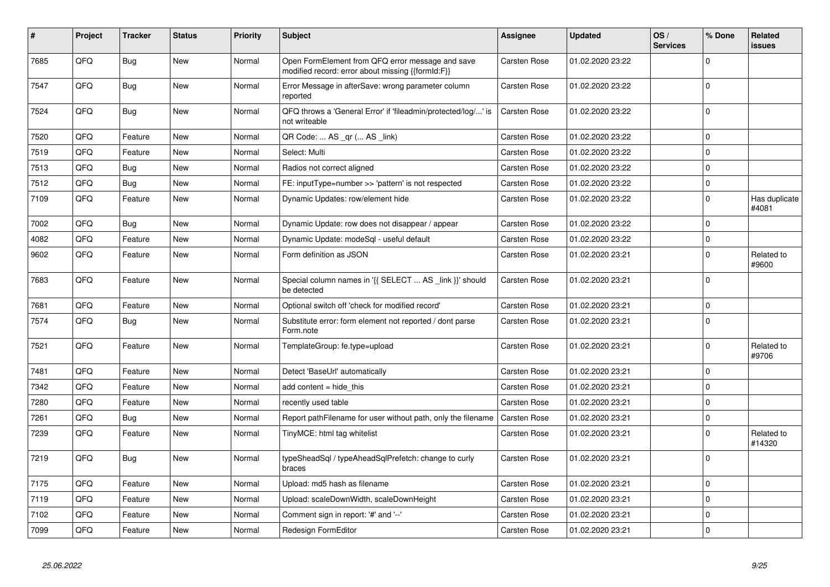| $\vert$ # | Project | <b>Tracker</b> | <b>Status</b> | <b>Priority</b> | <b>Subject</b>                                                                                        | Assignee            | <b>Updated</b>   | OS/<br><b>Services</b> | % Done      | Related<br><b>issues</b> |
|-----------|---------|----------------|---------------|-----------------|-------------------------------------------------------------------------------------------------------|---------------------|------------------|------------------------|-------------|--------------------------|
| 7685      | QFQ     | <b>Bug</b>     | <b>New</b>    | Normal          | Open FormElement from QFQ error message and save<br>modified record: error about missing {{formId:F}} | Carsten Rose        | 01.02.2020 23:22 |                        | $\mathbf 0$ |                          |
| 7547      | QFQ     | <b>Bug</b>     | New           | Normal          | Error Message in afterSave: wrong parameter column<br>reported                                        | Carsten Rose        | 01.02.2020 23:22 |                        | $\mathbf 0$ |                          |
| 7524      | QFQ     | Bug            | <b>New</b>    | Normal          | QFQ throws a 'General Error' if 'fileadmin/protected/log/' is<br>not writeable                        | Carsten Rose        | 01.02.2020 23:22 |                        | $\mathbf 0$ |                          |
| 7520      | QFQ     | Feature        | <b>New</b>    | Normal          | QR Code:  AS _qr ( AS _link)                                                                          | Carsten Rose        | 01.02.2020 23:22 |                        | $\mathbf 0$ |                          |
| 7519      | QFQ     | Feature        | <b>New</b>    | Normal          | Select: Multi                                                                                         | Carsten Rose        | 01.02.2020 23:22 |                        | $\mathbf 0$ |                          |
| 7513      | QFQ     | <b>Bug</b>     | <b>New</b>    | Normal          | Radios not correct aligned                                                                            | Carsten Rose        | 01.02.2020 23:22 |                        | $\mathbf 0$ |                          |
| 7512      | QFQ     | <b>Bug</b>     | <b>New</b>    | Normal          | FE: inputType=number >> 'pattern' is not respected                                                    | Carsten Rose        | 01.02.2020 23:22 |                        | $\mathbf 0$ |                          |
| 7109      | QFQ     | Feature        | <b>New</b>    | Normal          | Dynamic Updates: row/element hide                                                                     | <b>Carsten Rose</b> | 01.02.2020 23:22 |                        | $\mathbf 0$ | Has duplicate<br>#4081   |
| 7002      | QFQ     | <b>Bug</b>     | <b>New</b>    | Normal          | Dynamic Update: row does not disappear / appear                                                       | Carsten Rose        | 01.02.2020 23:22 |                        | $\mathbf 0$ |                          |
| 4082      | QFQ     | Feature        | <b>New</b>    | Normal          | Dynamic Update: modeSql - useful default                                                              | Carsten Rose        | 01.02.2020 23:22 |                        | $\pmb{0}$   |                          |
| 9602      | QFQ     | Feature        | <b>New</b>    | Normal          | Form definition as JSON                                                                               | Carsten Rose        | 01.02.2020 23:21 |                        | $\mathbf 0$ | Related to<br>#9600      |
| 7683      | QFQ     | Feature        | <b>New</b>    | Normal          | Special column names in '{{ SELECT  AS _link }}' should<br>be detected                                | <b>Carsten Rose</b> | 01.02.2020 23:21 |                        | $\mathbf 0$ |                          |
| 7681      | QFQ     | Feature        | New           | Normal          | Optional switch off 'check for modified record'                                                       | Carsten Rose        | 01.02.2020 23:21 |                        | $\mathbf 0$ |                          |
| 7574      | QFQ     | <b>Bug</b>     | <b>New</b>    | Normal          | Substitute error: form element not reported / dont parse<br>Form.note                                 | Carsten Rose        | 01.02.2020 23:21 |                        | $\mathbf 0$ |                          |
| 7521      | QFQ     | Feature        | <b>New</b>    | Normal          | TemplateGroup: fe.type=upload                                                                         | Carsten Rose        | 01.02.2020 23:21 |                        | $\mathbf 0$ | Related to<br>#9706      |
| 7481      | QFQ     | Feature        | <b>New</b>    | Normal          | Detect 'BaseUrl' automatically                                                                        | Carsten Rose        | 01.02.2020 23:21 |                        | $\mathbf 0$ |                          |
| 7342      | QFQ     | Feature        | <b>New</b>    | Normal          | add content $=$ hide this                                                                             | <b>Carsten Rose</b> | 01.02.2020 23:21 |                        | $\mathbf 0$ |                          |
| 7280      | QFQ     | Feature        | <b>New</b>    | Normal          | recently used table                                                                                   | Carsten Rose        | 01.02.2020 23:21 |                        | $\pmb{0}$   |                          |
| 7261      | QFQ     | Bug            | <b>New</b>    | Normal          | Report path Filename for user without path, only the filename                                         | Carsten Rose        | 01.02.2020 23:21 |                        | $\pmb{0}$   |                          |
| 7239      | QFQ     | Feature        | <b>New</b>    | Normal          | TinyMCE: html tag whitelist                                                                           | Carsten Rose        | 01.02.2020 23:21 |                        | $\pmb{0}$   | Related to<br>#14320     |
| 7219      | QFQ     | Bug            | New           | Normal          | typeSheadSql / typeAheadSqlPrefetch: change to curly<br>braces                                        | Carsten Rose        | 01.02.2020 23:21 |                        | $\mathbf 0$ |                          |
| 7175      | QFQ     | Feature        | <b>New</b>    | Normal          | Upload: md5 hash as filename                                                                          | Carsten Rose        | 01.02.2020 23:21 |                        | $\pmb{0}$   |                          |
| 7119      | QFQ     | Feature        | <b>New</b>    | Normal          | Upload: scaleDownWidth, scaleDownHeight                                                               | Carsten Rose        | 01.02.2020 23:21 |                        | $\mathbf 0$ |                          |
| 7102      | QFQ     | Feature        | <b>New</b>    | Normal          | Comment sign in report: '#' and '--'                                                                  | Carsten Rose        | 01.02.2020 23:21 |                        | $\mathbf 0$ |                          |
| 7099      | QFQ     | Feature        | <b>New</b>    | Normal          | Redesign FormEditor                                                                                   | Carsten Rose        | 01.02.2020 23:21 |                        | $\pmb{0}$   |                          |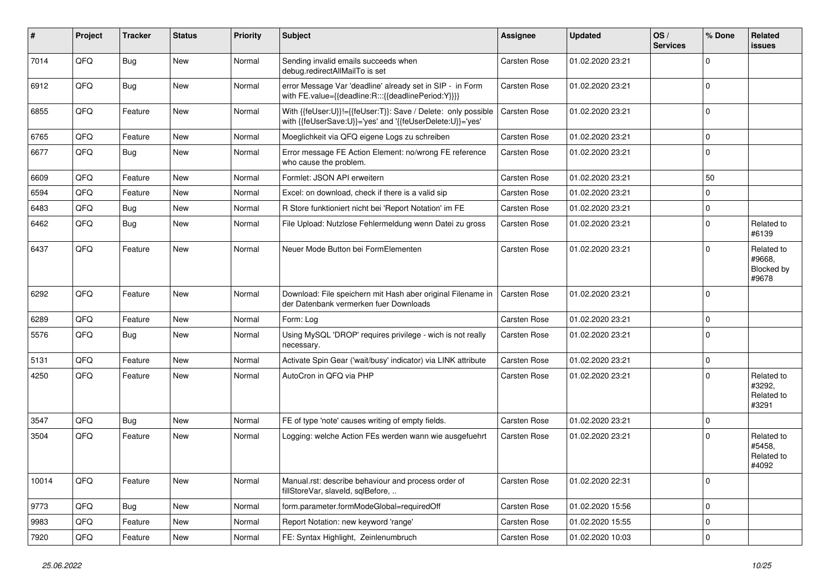| #     | Project | <b>Tracker</b> | <b>Status</b> | <b>Priority</b> | <b>Subject</b>                                                                                                             | Assignee            | <b>Updated</b>   | OS/<br><b>Services</b> | % Done      | Related<br>issues                           |
|-------|---------|----------------|---------------|-----------------|----------------------------------------------------------------------------------------------------------------------------|---------------------|------------------|------------------------|-------------|---------------------------------------------|
| 7014  | QFQ     | <b>Bug</b>     | New           | Normal          | Sending invalid emails succeeds when<br>debug.redirectAllMailTo is set                                                     | <b>Carsten Rose</b> | 01.02.2020 23:21 |                        | 0           |                                             |
| 6912  | QFQ     | Bug            | <b>New</b>    | Normal          | error Message Var 'deadline' already set in SIP - in Form<br>with FE.value={{deadline:R:::{{deadlinePeriod:Y}}}}           | Carsten Rose        | 01.02.2020 23:21 |                        | $\mathbf 0$ |                                             |
| 6855  | QFQ     | Feature        | New           | Normal          | With {{feUser:U}}!={{feUser:T}}: Save / Delete: only possible<br>with {{feUserSave:U}}='yes' and '{{feUserDelete:U}}='yes' | Carsten Rose        | 01.02.2020 23:21 |                        | $\mathbf 0$ |                                             |
| 6765  | QFQ     | Feature        | <b>New</b>    | Normal          | Moeglichkeit via QFQ eigene Logs zu schreiben                                                                              | Carsten Rose        | 01.02.2020 23:21 |                        | 0           |                                             |
| 6677  | QFQ     | Bug            | New           | Normal          | Error message FE Action Element: no/wrong FE reference<br>who cause the problem.                                           | Carsten Rose        | 01.02.2020 23:21 |                        | $\mathbf 0$ |                                             |
| 6609  | QFQ     | Feature        | <b>New</b>    | Normal          | Formlet: JSON API erweitern                                                                                                | <b>Carsten Rose</b> | 01.02.2020 23:21 |                        | 50          |                                             |
| 6594  | QFQ     | Feature        | <b>New</b>    | Normal          | Excel: on download, check if there is a valid sip                                                                          | Carsten Rose        | 01.02.2020 23:21 |                        | 0           |                                             |
| 6483  | QFQ     | <b>Bug</b>     | <b>New</b>    | Normal          | R Store funktioniert nicht bei 'Report Notation' im FE                                                                     | <b>Carsten Rose</b> | 01.02.2020 23:21 |                        | $\mathbf 0$ |                                             |
| 6462  | QFQ     | Bug            | New           | Normal          | File Upload: Nutzlose Fehlermeldung wenn Datei zu gross                                                                    | Carsten Rose        | 01.02.2020 23:21 |                        | $\mathbf 0$ | Related to<br>#6139                         |
| 6437  | QFQ     | Feature        | <b>New</b>    | Normal          | Neuer Mode Button bei FormElementen                                                                                        | <b>Carsten Rose</b> | 01.02.2020 23:21 |                        | $\Omega$    | Related to<br>#9668.<br>Blocked by<br>#9678 |
| 6292  | QFQ     | Feature        | New           | Normal          | Download: File speichern mit Hash aber original Filename in<br>der Datenbank vermerken fuer Downloads                      | Carsten Rose        | 01.02.2020 23:21 |                        | $\mathbf 0$ |                                             |
| 6289  | QFQ     | Feature        | New           | Normal          | Form: Log                                                                                                                  | Carsten Rose        | 01.02.2020 23:21 |                        | $\mathbf 0$ |                                             |
| 5576  | QFQ     | Bug            | <b>New</b>    | Normal          | Using MySQL 'DROP' requires privilege - wich is not really<br>necessary.                                                   | Carsten Rose        | 01.02.2020 23:21 |                        | $\mathbf 0$ |                                             |
| 5131  | QFQ     | Feature        | <b>New</b>    | Normal          | Activate Spin Gear ('wait/busy' indicator) via LINK attribute                                                              | Carsten Rose        | 01.02.2020 23:21 |                        | $\pmb{0}$   |                                             |
| 4250  | QFQ     | Feature        | New           | Normal          | AutoCron in QFQ via PHP                                                                                                    | Carsten Rose        | 01.02.2020 23:21 |                        | $\mathbf 0$ | Related to<br>#3292,<br>Related to<br>#3291 |
| 3547  | QFQ     | <b>Bug</b>     | <b>New</b>    | Normal          | FE of type 'note' causes writing of empty fields.                                                                          | <b>Carsten Rose</b> | 01.02.2020 23:21 |                        | $\mathbf 0$ |                                             |
| 3504  | QFQ     | Feature        | <b>New</b>    | Normal          | Logging: welche Action FEs werden wann wie ausgefuehrt                                                                     | <b>Carsten Rose</b> | 01.02.2020 23:21 |                        | $\Omega$    | Related to<br>#5458,<br>Related to<br>#4092 |
| 10014 | QFQ     | Feature        | New           | Normal          | Manual.rst: describe behaviour and process order of<br>fillStoreVar, slaveId, sqlBefore,                                   | Carsten Rose        | 01.02.2020 22:31 |                        | $\mathbf 0$ |                                             |
| 9773  | QFQ     | Bug            | New           | Normal          | form.parameter.formModeGlobal=requiredOff                                                                                  | Carsten Rose        | 01.02.2020 15:56 |                        | $\pmb{0}$   |                                             |
| 9983  | QFQ     | Feature        | New           | Normal          | Report Notation: new keyword 'range'                                                                                       | Carsten Rose        | 01.02.2020 15:55 |                        | $\pmb{0}$   |                                             |
| 7920  | QFQ     | Feature        | New           | Normal          | FE: Syntax Highlight, Zeinlenumbruch                                                                                       | Carsten Rose        | 01.02.2020 10:03 |                        | $\pmb{0}$   |                                             |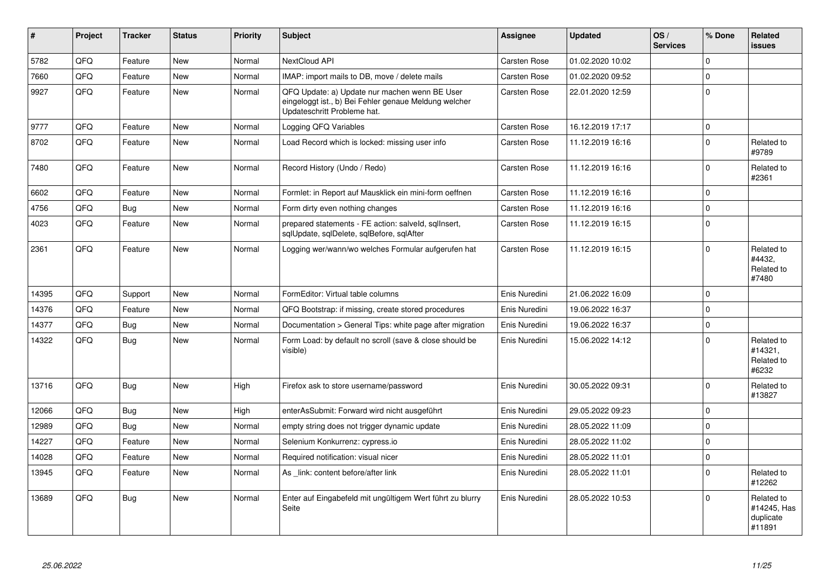| #     | Project | <b>Tracker</b> | <b>Status</b> | <b>Priority</b> | <b>Subject</b>                                                                                                                        | Assignee            | <b>Updated</b>   | OS/<br><b>Services</b> | % Done   | Related<br><b>issues</b>                         |
|-------|---------|----------------|---------------|-----------------|---------------------------------------------------------------------------------------------------------------------------------------|---------------------|------------------|------------------------|----------|--------------------------------------------------|
| 5782  | QFQ     | Feature        | <b>New</b>    | Normal          | NextCloud API                                                                                                                         | Carsten Rose        | 01.02.2020 10:02 |                        | $\Omega$ |                                                  |
| 7660  | QFQ     | Feature        | New           | Normal          | IMAP: import mails to DB, move / delete mails                                                                                         | <b>Carsten Rose</b> | 01.02.2020 09:52 |                        | $\Omega$ |                                                  |
| 9927  | QFQ     | Feature        | New           | Normal          | QFQ Update: a) Update nur machen wenn BE User<br>eingeloggt ist., b) Bei Fehler genaue Meldung welcher<br>Updateschritt Probleme hat. | Carsten Rose        | 22.01.2020 12:59 |                        | 0        |                                                  |
| 9777  | QFQ     | Feature        | <b>New</b>    | Normal          | Logging QFQ Variables                                                                                                                 | <b>Carsten Rose</b> | 16.12.2019 17:17 |                        | 0        |                                                  |
| 8702  | QFQ     | Feature        | New           | Normal          | Load Record which is locked: missing user info                                                                                        | <b>Carsten Rose</b> | 11.12.2019 16:16 |                        | $\Omega$ | Related to<br>#9789                              |
| 7480  | QFQ     | Feature        | <b>New</b>    | Normal          | Record History (Undo / Redo)                                                                                                          | Carsten Rose        | 11.12.2019 16:16 |                        | $\Omega$ | Related to<br>#2361                              |
| 6602  | QFQ     | Feature        | <b>New</b>    | Normal          | Formlet: in Report auf Mausklick ein mini-form oeffnen                                                                                | <b>Carsten Rose</b> | 11.12.2019 16:16 |                        | $\Omega$ |                                                  |
| 4756  | QFQ     | Bug            | New           | Normal          | Form dirty even nothing changes                                                                                                       | <b>Carsten Rose</b> | 11.12.2019 16:16 |                        | 0        |                                                  |
| 4023  | QFQ     | Feature        | <b>New</b>    | Normal          | prepared statements - FE action: salveld, sqllnsert,<br>sglUpdate, sglDelete, sglBefore, sglAfter                                     | <b>Carsten Rose</b> | 11.12.2019 16:15 |                        | $\Omega$ |                                                  |
| 2361  | QFQ     | Feature        | <b>New</b>    | Normal          | Logging wer/wann/wo welches Formular aufgerufen hat                                                                                   | Carsten Rose        | 11.12.2019 16:15 |                        | $\Omega$ | Related to<br>#4432.<br>Related to<br>#7480      |
| 14395 | QFQ     | Support        | <b>New</b>    | Normal          | FormEditor: Virtual table columns                                                                                                     | Enis Nuredini       | 21.06.2022 16:09 |                        | $\Omega$ |                                                  |
| 14376 | QFQ     | Feature        | New           | Normal          | QFQ Bootstrap: if missing, create stored procedures                                                                                   | Enis Nuredini       | 19.06.2022 16:37 |                        | $\Omega$ |                                                  |
| 14377 | QFQ     | Bug            | <b>New</b>    | Normal          | Documentation > General Tips: white page after migration                                                                              | Enis Nuredini       | 19.06.2022 16:37 |                        | 0        |                                                  |
| 14322 | QFQ     | Bug            | <b>New</b>    | Normal          | Form Load: by default no scroll (save & close should be<br>visible)                                                                   | Enis Nuredini       | 15.06.2022 14:12 |                        | $\Omega$ | Related to<br>#14321,<br>Related to<br>#6232     |
| 13716 | QFQ     | <b>Bug</b>     | <b>New</b>    | High            | Firefox ask to store username/password                                                                                                | Enis Nuredini       | 30.05.2022 09:31 |                        | $\Omega$ | Related to<br>#13827                             |
| 12066 | QFQ     | <b>Bug</b>     | <b>New</b>    | High            | enterAsSubmit: Forward wird nicht ausgeführt                                                                                          | Enis Nuredini       | 29.05.2022 09:23 |                        | 0        |                                                  |
| 12989 | QFQ     | Bug            | <b>New</b>    | Normal          | empty string does not trigger dynamic update                                                                                          | Enis Nuredini       | 28.05.2022 11:09 |                        | 0        |                                                  |
| 14227 | QFQ     | Feature        | <b>New</b>    | Normal          | Selenium Konkurrenz: cypress.io                                                                                                       | Enis Nuredini       | 28.05.2022 11:02 |                        | 0        |                                                  |
| 14028 | QFQ     | Feature        | <b>New</b>    | Normal          | Required notification: visual nicer                                                                                                   | Enis Nuredini       | 28.05.2022 11:01 |                        | 0        |                                                  |
| 13945 | QFQ     | Feature        | New           | Normal          | As link: content before/after link                                                                                                    | Enis Nuredini       | 28.05.2022 11:01 |                        | 0        | Related to<br>#12262                             |
| 13689 | QFQ     | <b>Bug</b>     | New           | Normal          | Enter auf Eingabefeld mit ungültigem Wert führt zu blurry<br>Seite                                                                    | Enis Nuredini       | 28.05.2022 10:53 |                        | $\Omega$ | Related to<br>#14245, Has<br>duplicate<br>#11891 |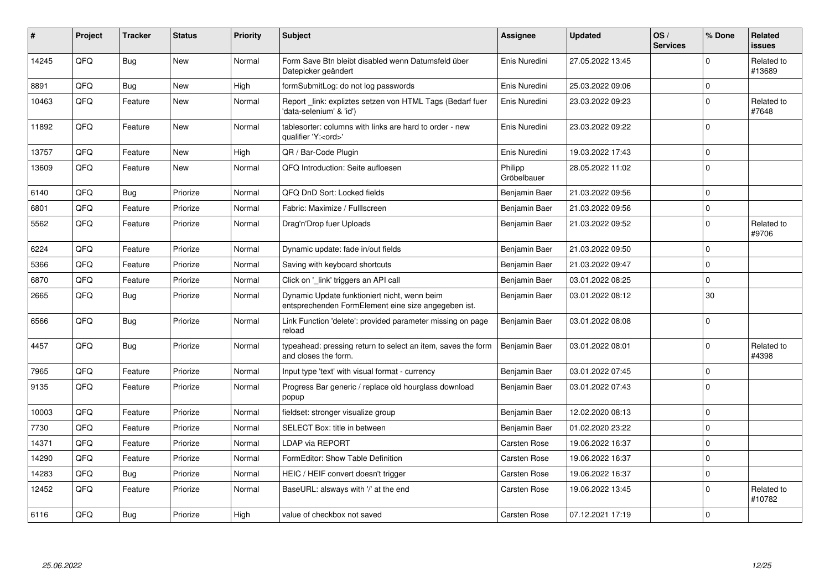| ∦     | Project | <b>Tracker</b> | <b>Status</b> | <b>Priority</b> | <b>Subject</b>                                                                                      | Assignee               | <b>Updated</b>   | OS/<br><b>Services</b> | % Done      | Related<br>issues    |
|-------|---------|----------------|---------------|-----------------|-----------------------------------------------------------------------------------------------------|------------------------|------------------|------------------------|-------------|----------------------|
| 14245 | QFQ     | <b>Bug</b>     | <b>New</b>    | Normal          | Form Save Btn bleibt disabled wenn Datumsfeld über<br>Datepicker geändert                           | Enis Nuredini          | 27.05.2022 13:45 |                        | $\Omega$    | Related to<br>#13689 |
| 8891  | QFQ     | Bug            | <b>New</b>    | High            | formSubmitLog: do not log passwords                                                                 | Enis Nuredini          | 25.03.2022 09:06 |                        | $\pmb{0}$   |                      |
| 10463 | QFQ     | Feature        | New           | Normal          | Report link: expliztes setzen von HTML Tags (Bedarf fuer<br>'data-selenium' & 'id')                 | Enis Nuredini          | 23.03.2022 09:23 |                        | $\mathbf 0$ | Related to<br>#7648  |
| 11892 | QFQ     | Feature        | New           | Normal          | tablesorter: columns with links are hard to order - new<br>qualifier 'Y: <ord>'</ord>               | Enis Nuredini          | 23.03.2022 09:22 |                        | $\mathbf 0$ |                      |
| 13757 | QFQ     | Feature        | <b>New</b>    | High            | QR / Bar-Code Plugin                                                                                | Enis Nuredini          | 19.03.2022 17:43 |                        | $\mathbf 0$ |                      |
| 13609 | QFQ     | Feature        | New           | Normal          | QFQ Introduction: Seite aufloesen                                                                   | Philipp<br>Gröbelbauer | 28.05.2022 11:02 |                        | $\pmb{0}$   |                      |
| 6140  | QFQ     | <b>Bug</b>     | Priorize      | Normal          | QFQ DnD Sort: Locked fields                                                                         | Benjamin Baer          | 21.03.2022 09:56 |                        | $\mathbf 0$ |                      |
| 6801  | QFQ     | Feature        | Priorize      | Normal          | Fabric: Maximize / Fulllscreen                                                                      | Benjamin Baer          | 21.03.2022 09:56 |                        | $\pmb{0}$   |                      |
| 5562  | QFQ     | Feature        | Priorize      | Normal          | Drag'n'Drop fuer Uploads                                                                            | Benjamin Baer          | 21.03.2022 09:52 |                        | $\mathbf 0$ | Related to<br>#9706  |
| 6224  | QFQ     | Feature        | Priorize      | Normal          | Dynamic update: fade in/out fields                                                                  | Benjamin Baer          | 21.03.2022 09:50 |                        | 0           |                      |
| 5366  | QFQ     | Feature        | Priorize      | Normal          | Saving with keyboard shortcuts                                                                      | Benjamin Baer          | 21.03.2022 09:47 |                        | $\mathbf 0$ |                      |
| 6870  | QFQ     | Feature        | Priorize      | Normal          | Click on '_link' triggers an API call                                                               | Benjamin Baer          | 03.01.2022 08:25 |                        | $\pmb{0}$   |                      |
| 2665  | QFQ     | <b>Bug</b>     | Priorize      | Normal          | Dynamic Update funktioniert nicht, wenn beim<br>entsprechenden FormElement eine size angegeben ist. | Benjamin Baer          | 03.01.2022 08:12 |                        | 30          |                      |
| 6566  | QFQ     | Bug            | Priorize      | Normal          | Link Function 'delete': provided parameter missing on page<br>reload                                | Benjamin Baer          | 03.01.2022 08:08 |                        | $\mathbf 0$ |                      |
| 4457  | QFQ     | Bug            | Priorize      | Normal          | typeahead: pressing return to select an item, saves the form<br>and closes the form.                | Benjamin Baer          | 03.01.2022 08:01 |                        | $\mathbf 0$ | Related to<br>#4398  |
| 7965  | QFQ     | Feature        | Priorize      | Normal          | Input type 'text' with visual format - currency                                                     | Benjamin Baer          | 03.01.2022 07:45 |                        | $\mathbf 0$ |                      |
| 9135  | QFQ     | Feature        | Priorize      | Normal          | Progress Bar generic / replace old hourglass download<br>popup                                      | Benjamin Baer          | 03.01.2022 07:43 |                        | $\mathbf 0$ |                      |
| 10003 | QFQ     | Feature        | Priorize      | Normal          | fieldset: stronger visualize group                                                                  | Benjamin Baer          | 12.02.2020 08:13 |                        | $\mathbf 0$ |                      |
| 7730  | QFQ     | Feature        | Priorize      | Normal          | SELECT Box: title in between                                                                        | Benjamin Baer          | 01.02.2020 23:22 |                        | $\mathbf 0$ |                      |
| 14371 | QFQ     | Feature        | Priorize      | Normal          | <b>LDAP via REPORT</b>                                                                              | <b>Carsten Rose</b>    | 19.06.2022 16:37 |                        | $\mathbf 0$ |                      |
| 14290 | QFQ     | Feature        | Priorize      | Normal          | FormEditor: Show Table Definition                                                                   | Carsten Rose           | 19.06.2022 16:37 |                        | $\mathbf 0$ |                      |
| 14283 | QFQ     | <b>Bug</b>     | Priorize      | Normal          | HEIC / HEIF convert doesn't trigger                                                                 | Carsten Rose           | 19.06.2022 16:37 |                        | $\mathbf 0$ |                      |
| 12452 | QFQ     | Feature        | Priorize      | Normal          | BaseURL: alsways with '/' at the end                                                                | <b>Carsten Rose</b>    | 19.06.2022 13:45 |                        | $\mathbf 0$ | Related to<br>#10782 |
| 6116  | QFQ     | Bug            | Priorize      | High            | value of checkbox not saved                                                                         | Carsten Rose           | 07.12.2021 17:19 |                        | $\mathbf 0$ |                      |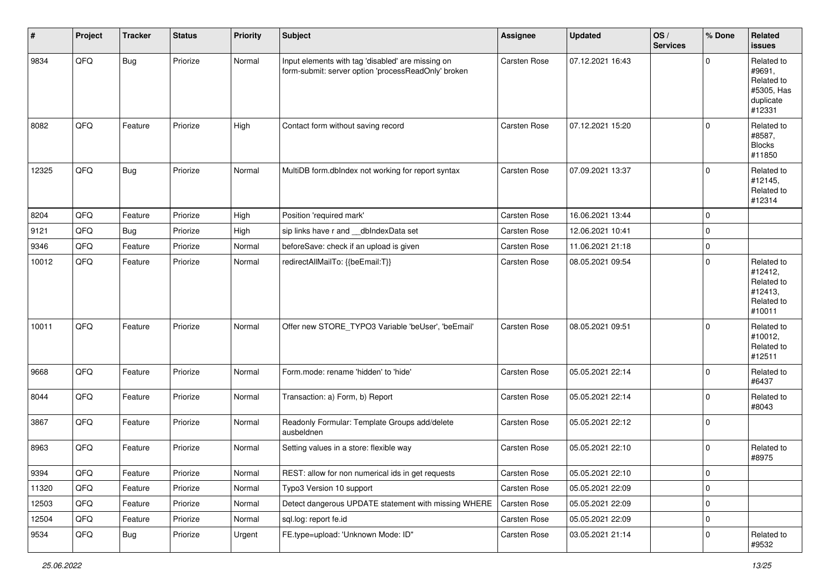| #     | Project | <b>Tracker</b> | <b>Status</b> | <b>Priority</b> | <b>Subject</b>                                                                                           | <b>Assignee</b> | <b>Updated</b>   | OS/<br><b>Services</b> | % Done      | Related<br><b>issues</b>                                                |
|-------|---------|----------------|---------------|-----------------|----------------------------------------------------------------------------------------------------------|-----------------|------------------|------------------------|-------------|-------------------------------------------------------------------------|
| 9834  | QFQ     | <b>Bug</b>     | Priorize      | Normal          | Input elements with tag 'disabled' are missing on<br>form-submit: server option 'processReadOnly' broken | Carsten Rose    | 07.12.2021 16:43 |                        | 0           | Related to<br>#9691,<br>Related to<br>#5305, Has<br>duplicate<br>#12331 |
| 8082  | QFQ     | Feature        | Priorize      | High            | Contact form without saving record                                                                       | Carsten Rose    | 07.12.2021 15:20 |                        | 0           | Related to<br>#8587,<br><b>Blocks</b><br>#11850                         |
| 12325 | QFQ     | <b>Bug</b>     | Priorize      | Normal          | MultiDB form.dblndex not working for report syntax                                                       | Carsten Rose    | 07.09.2021 13:37 |                        | 0           | Related to<br>#12145,<br>Related to<br>#12314                           |
| 8204  | QFQ     | Feature        | Priorize      | High            | Position 'required mark'                                                                                 | Carsten Rose    | 16.06.2021 13:44 |                        | $\mathbf 0$ |                                                                         |
| 9121  | QFQ     | Bug            | Priorize      | High            | sip links have r and __dbIndexData set                                                                   | Carsten Rose    | 12.06.2021 10:41 |                        | $\mathbf 0$ |                                                                         |
| 9346  | QFQ     | Feature        | Priorize      | Normal          | beforeSave: check if an upload is given                                                                  | Carsten Rose    | 11.06.2021 21:18 |                        | 0           |                                                                         |
| 10012 | QFQ     | Feature        | Priorize      | Normal          | redirectAllMailTo: {{beEmail:T}}                                                                         | Carsten Rose    | 08.05.2021 09:54 |                        | 0           | Related to<br>#12412,<br>Related to<br>#12413,<br>Related to<br>#10011  |
| 10011 | QFQ     | Feature        | Priorize      | Normal          | Offer new STORE_TYPO3 Variable 'beUser', 'beEmail'                                                       | Carsten Rose    | 08.05.2021 09:51 |                        | $\Omega$    | Related to<br>#10012,<br>Related to<br>#12511                           |
| 9668  | QFQ     | Feature        | Priorize      | Normal          | Form.mode: rename 'hidden' to 'hide'                                                                     | Carsten Rose    | 05.05.2021 22:14 |                        | 0           | Related to<br>#6437                                                     |
| 8044  | QFQ     | Feature        | Priorize      | Normal          | Transaction: a) Form, b) Report                                                                          | Carsten Rose    | 05.05.2021 22:14 |                        | 0           | Related to<br>#8043                                                     |
| 3867  | QFQ     | Feature        | Priorize      | Normal          | Readonly Formular: Template Groups add/delete<br>ausbeldnen                                              | Carsten Rose    | 05.05.2021 22:12 |                        | $\Omega$    |                                                                         |
| 8963  | QFQ     | Feature        | Priorize      | Normal          | Setting values in a store: flexible way                                                                  | Carsten Rose    | 05.05.2021 22:10 |                        | 0           | Related to<br>#8975                                                     |
| 9394  | QFQ     | Feature        | Priorize      | Normal          | REST: allow for non numerical ids in get requests                                                        | Carsten Rose    | 05.05.2021 22:10 |                        | $\mathbf 0$ |                                                                         |
| 11320 | QFQ     | Feature        | Priorize      | Normal          | Typo3 Version 10 support                                                                                 | Carsten Rose    | 05.05.2021 22:09 |                        | $\mathbf 0$ |                                                                         |
| 12503 | QFQ     | Feature        | Priorize      | Normal          | Detect dangerous UPDATE statement with missing WHERE                                                     | Carsten Rose    | 05.05.2021 22:09 |                        | $\mathbf 0$ |                                                                         |
| 12504 | QFQ     | Feature        | Priorize      | Normal          | sql.log: report fe.id                                                                                    | Carsten Rose    | 05.05.2021 22:09 |                        | $\mathbf 0$ |                                                                         |
| 9534  | QFQ     | Bug            | Priorize      | Urgent          | FE.type=upload: 'Unknown Mode: ID"                                                                       | Carsten Rose    | 03.05.2021 21:14 |                        | $\mathbf 0$ | Related to<br>#9532                                                     |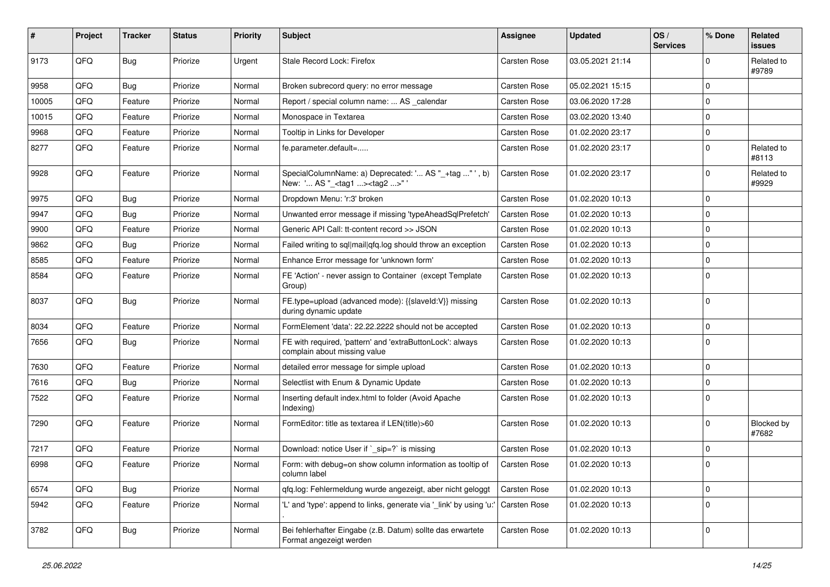| #     | Project | <b>Tracker</b> | <b>Status</b> | <b>Priority</b> | <b>Subject</b>                                                                                      | <b>Assignee</b>     | <b>Updated</b>   | OS/<br><b>Services</b> | % Done      | Related<br><b>issues</b>   |
|-------|---------|----------------|---------------|-----------------|-----------------------------------------------------------------------------------------------------|---------------------|------------------|------------------------|-------------|----------------------------|
| 9173  | QFQ     | <b>Bug</b>     | Priorize      | Urgent          | Stale Record Lock: Firefox                                                                          | <b>Carsten Rose</b> | 03.05.2021 21:14 |                        | $\mathbf 0$ | Related to<br>#9789        |
| 9958  | QFQ     | Bug            | Priorize      | Normal          | Broken subrecord query: no error message                                                            | Carsten Rose        | 05.02.2021 15:15 |                        | $\Omega$    |                            |
| 10005 | QFQ     | Feature        | Priorize      | Normal          | Report / special column name:  AS _calendar                                                         | <b>Carsten Rose</b> | 03.06.2020 17:28 |                        | $\Omega$    |                            |
| 10015 | QFQ     | Feature        | Priorize      | Normal          | Monospace in Textarea                                                                               | <b>Carsten Rose</b> | 03.02.2020 13:40 |                        | $\Omega$    |                            |
| 9968  | QFQ     | Feature        | Priorize      | Normal          | Tooltip in Links for Developer                                                                      | <b>Carsten Rose</b> | 01.02.2020 23:17 |                        | $\mathbf 0$ |                            |
| 8277  | QFQ     | Feature        | Priorize      | Normal          | fe.parameter.default=                                                                               | Carsten Rose        | 01.02.2020 23:17 |                        | $\mathbf 0$ | Related to<br>#8113        |
| 9928  | QFQ     | Feature        | Priorize      | Normal          | SpecialColumnName: a) Deprecated: ' AS "_+tag " ', b)<br>New: ' AS "_ <tag1><tag2>" '</tag2></tag1> | <b>Carsten Rose</b> | 01.02.2020 23:17 |                        | $\Omega$    | Related to<br>#9929        |
| 9975  | QFQ     | <b>Bug</b>     | Priorize      | Normal          | Dropdown Menu: 'r:3' broken                                                                         | Carsten Rose        | 01.02.2020 10:13 |                        | $\Omega$    |                            |
| 9947  | QFQ     | <b>Bug</b>     | Priorize      | Normal          | Unwanted error message if missing 'typeAheadSqlPrefetch'                                            | Carsten Rose        | 01.02.2020 10:13 |                        | $\Omega$    |                            |
| 9900  | QFQ     | Feature        | Priorize      | Normal          | Generic API Call: tt-content record >> JSON                                                         | <b>Carsten Rose</b> | 01.02.2020 10:13 |                        | $\Omega$    |                            |
| 9862  | QFQ     | Bug            | Priorize      | Normal          | Failed writing to sgl mail gfg.log should throw an exception                                        | Carsten Rose        | 01.02.2020 10:13 |                        | $\Omega$    |                            |
| 8585  | QFQ     | Feature        | Priorize      | Normal          | Enhance Error message for 'unknown form'                                                            | Carsten Rose        | 01.02.2020 10:13 |                        | 0           |                            |
| 8584  | QFQ     | Feature        | Priorize      | Normal          | FE 'Action' - never assign to Container (except Template<br>Group)                                  | <b>Carsten Rose</b> | 01.02.2020 10:13 |                        | $\Omega$    |                            |
| 8037  | QFQ     | <b>Bug</b>     | Priorize      | Normal          | FE.type=upload (advanced mode): {{slaveld:V}} missing<br>during dynamic update                      | Carsten Rose        | 01.02.2020 10:13 |                        | $\Omega$    |                            |
| 8034  | QFQ     | Feature        | Priorize      | Normal          | FormElement 'data': 22.22.2222 should not be accepted                                               | <b>Carsten Rose</b> | 01.02.2020 10:13 |                        | $\mathbf 0$ |                            |
| 7656  | QFQ     | Bug            | Priorize      | Normal          | FE with required, 'pattern' and 'extraButtonLock': always<br>complain about missing value           | <b>Carsten Rose</b> | 01.02.2020 10:13 |                        | $\Omega$    |                            |
| 7630  | QFQ     | Feature        | Priorize      | Normal          | detailed error message for simple upload                                                            | Carsten Rose        | 01.02.2020 10:13 |                        | $\mathbf 0$ |                            |
| 7616  | QFQ     | Bug            | Priorize      | Normal          | Selectlist with Enum & Dynamic Update                                                               | Carsten Rose        | 01.02.2020 10:13 |                        | $\Omega$    |                            |
| 7522  | QFQ     | Feature        | Priorize      | Normal          | Inserting default index.html to folder (Avoid Apache<br>Indexing)                                   | <b>Carsten Rose</b> | 01.02.2020 10:13 |                        | $\Omega$    |                            |
| 7290  | QFQ     | Feature        | Priorize      | Normal          | FormEditor: title as textarea if LEN(title)>60                                                      | Carsten Rose        | 01.02.2020 10:13 |                        | $\Omega$    | <b>Blocked by</b><br>#7682 |
| 7217  | QFQ     | Feature        | Priorize      | Normal          | Download: notice User if `_sip=?` is missing                                                        | <b>Carsten Rose</b> | 01.02.2020 10:13 |                        | $\mathbf 0$ |                            |
| 6998  | QFQ     | Feature        | Priorize      | Normal          | Form: with debug=on show column information as tooltip of<br>column label                           | Carsten Rose        | 01.02.2020 10:13 |                        | $\mathbf 0$ |                            |
| 6574  | QFQ     | <b>Bug</b>     | Priorize      | Normal          | qfq.log: Fehlermeldung wurde angezeigt, aber nicht geloggt                                          | Carsten Rose        | 01.02.2020 10:13 |                        | 0           |                            |
| 5942  | QFQ     | Feature        | Priorize      | Normal          | 'L' and 'type': append to links, generate via '_link' by using 'u:'                                 | Carsten Rose        | 01.02.2020 10:13 |                        | $\mathbf 0$ |                            |
| 3782  | QFQ     | <b>Bug</b>     | Priorize      | Normal          | Bei fehlerhafter Eingabe (z.B. Datum) sollte das erwartete<br>Format angezeigt werden               | Carsten Rose        | 01.02.2020 10:13 |                        | 0           |                            |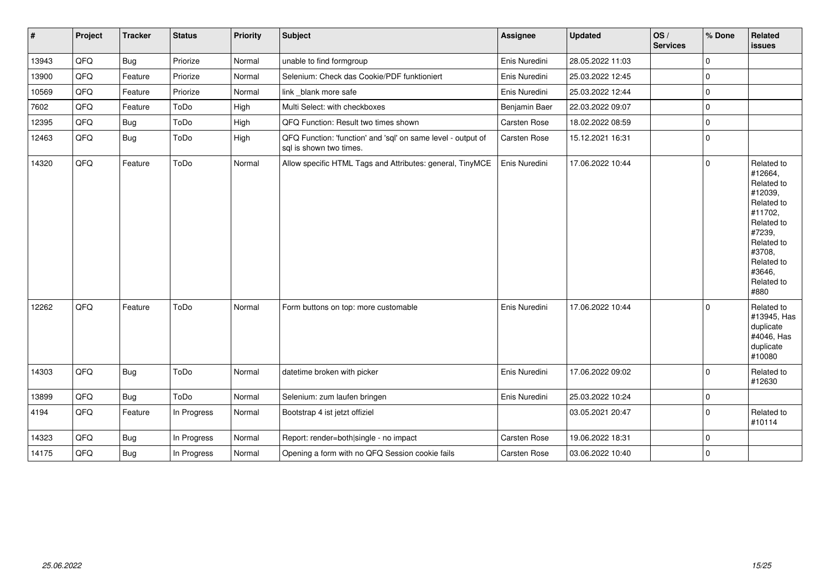| $\vert$ # | Project | <b>Tracker</b> | <b>Status</b> | <b>Priority</b> | <b>Subject</b>                                                                          | <b>Assignee</b>     | <b>Updated</b>   | OS/<br><b>Services</b> | % Done      | Related<br><b>issues</b>                                                                                                                                              |
|-----------|---------|----------------|---------------|-----------------|-----------------------------------------------------------------------------------------|---------------------|------------------|------------------------|-------------|-----------------------------------------------------------------------------------------------------------------------------------------------------------------------|
| 13943     | QFQ     | <b>Bug</b>     | Priorize      | Normal          | unable to find formgroup                                                                | Enis Nuredini       | 28.05.2022 11:03 |                        | $\pmb{0}$   |                                                                                                                                                                       |
| 13900     | QFQ     | Feature        | Priorize      | Normal          | Selenium: Check das Cookie/PDF funktioniert                                             | Enis Nuredini       | 25.03.2022 12:45 |                        | $\mathbf 0$ |                                                                                                                                                                       |
| 10569     | QFQ     | Feature        | Priorize      | Normal          | link blank more safe                                                                    | Enis Nuredini       | 25.03.2022 12:44 |                        | $\mathbf 0$ |                                                                                                                                                                       |
| 7602      | QFQ     | Feature        | ToDo          | High            | Multi Select: with checkboxes                                                           | Benjamin Baer       | 22.03.2022 09:07 |                        | $\pmb{0}$   |                                                                                                                                                                       |
| 12395     | QFQ     | Bug            | ToDo          | High            | QFQ Function: Result two times shown                                                    | Carsten Rose        | 18.02.2022 08:59 |                        | $\pmb{0}$   |                                                                                                                                                                       |
| 12463     | QFQ     | <b>Bug</b>     | ToDo          | High            | QFQ Function: 'function' and 'sql' on same level - output of<br>sql is shown two times. | Carsten Rose        | 15.12.2021 16:31 |                        | $\mathbf 0$ |                                                                                                                                                                       |
| 14320     | QFQ     | Feature        | ToDo          | Normal          | Allow specific HTML Tags and Attributes: general, TinyMCE                               | Enis Nuredini       | 17.06.2022 10:44 |                        | $\mathbf 0$ | Related to<br>#12664,<br>Related to<br>#12039,<br>Related to<br>#11702,<br>Related to<br>#7239,<br>Related to<br>#3708,<br>Related to<br>#3646,<br>Related to<br>#880 |
| 12262     | QFQ     | Feature        | ToDo          | Normal          | Form buttons on top: more customable                                                    | Enis Nuredini       | 17.06.2022 10:44 |                        | $\mathbf 0$ | Related to<br>#13945, Has<br>duplicate<br>#4046, Has<br>duplicate<br>#10080                                                                                           |
| 14303     | QFQ     | Bug            | ToDo          | Normal          | datetime broken with picker                                                             | Enis Nuredini       | 17.06.2022 09:02 |                        | $\mathbf 0$ | Related to<br>#12630                                                                                                                                                  |
| 13899     | QFQ     | <b>Bug</b>     | ToDo          | Normal          | Selenium: zum laufen bringen                                                            | Enis Nuredini       | 25.03.2022 10:24 |                        | $\mathbf 0$ |                                                                                                                                                                       |
| 4194      | QFQ     | Feature        | In Progress   | Normal          | Bootstrap 4 ist jetzt offiziel                                                          |                     | 03.05.2021 20:47 |                        | $\mathbf 0$ | Related to<br>#10114                                                                                                                                                  |
| 14323     | QFQ     | <b>Bug</b>     | In Progress   | Normal          | Report: render=both single - no impact                                                  | <b>Carsten Rose</b> | 19.06.2022 18:31 |                        | $\pmb{0}$   |                                                                                                                                                                       |
| 14175     | QFQ     | <b>Bug</b>     | In Progress   | Normal          | Opening a form with no QFQ Session cookie fails                                         | Carsten Rose        | 03.06.2022 10:40 |                        | $\pmb{0}$   |                                                                                                                                                                       |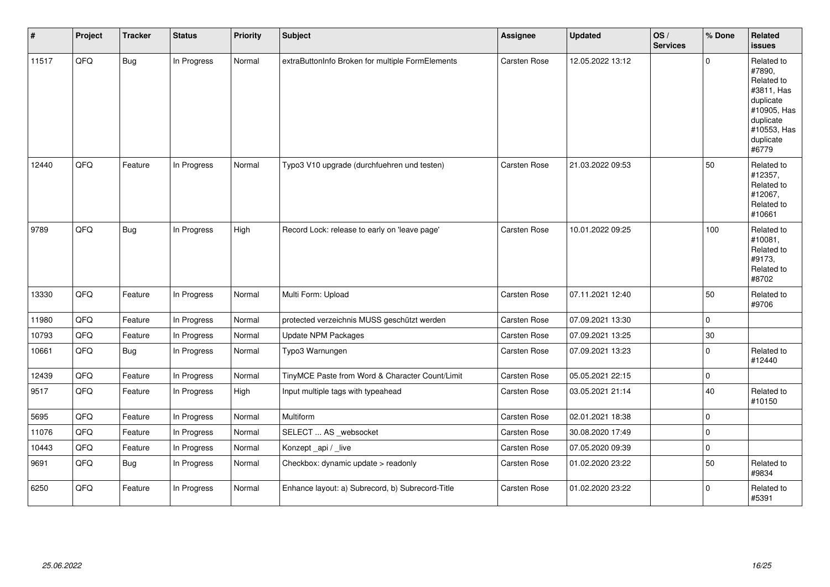| #     | Project | <b>Tracker</b> | <b>Status</b> | <b>Priority</b> | <b>Subject</b>                                   | <b>Assignee</b>     | <b>Updated</b>   | OS/<br><b>Services</b> | % Done       | Related<br><b>issues</b>                                                                                                       |
|-------|---------|----------------|---------------|-----------------|--------------------------------------------------|---------------------|------------------|------------------------|--------------|--------------------------------------------------------------------------------------------------------------------------------|
| 11517 | QFQ     | <b>Bug</b>     | In Progress   | Normal          | extraButtonInfo Broken for multiple FormElements | Carsten Rose        | 12.05.2022 13:12 |                        | 0            | Related to<br>#7890,<br>Related to<br>#3811, Has<br>duplicate<br>#10905, Has<br>duplicate<br>#10553, Has<br>duplicate<br>#6779 |
| 12440 | QFQ     | Feature        | In Progress   | Normal          | Typo3 V10 upgrade (durchfuehren und testen)      | Carsten Rose        | 21.03.2022 09:53 |                        | 50           | Related to<br>#12357,<br>Related to<br>#12067,<br>Related to<br>#10661                                                         |
| 9789  | QFQ     | Bug            | In Progress   | High            | Record Lock: release to early on 'leave page'    | Carsten Rose        | 10.01.2022 09:25 |                        | 100          | Related to<br>#10081,<br>Related to<br>#9173,<br>Related to<br>#8702                                                           |
| 13330 | QFQ     | Feature        | In Progress   | Normal          | Multi Form: Upload                               | Carsten Rose        | 07.11.2021 12:40 |                        | 50           | Related to<br>#9706                                                                                                            |
| 11980 | QFQ     | Feature        | In Progress   | Normal          | protected verzeichnis MUSS geschützt werden      | Carsten Rose        | 07.09.2021 13:30 |                        | $\mathbf{0}$ |                                                                                                                                |
| 10793 | QFQ     | Feature        | In Progress   | Normal          | Update NPM Packages                              | <b>Carsten Rose</b> | 07.09.2021 13:25 |                        | 30           |                                                                                                                                |
| 10661 | QFQ     | Bug            | In Progress   | Normal          | Typo3 Warnungen                                  | <b>Carsten Rose</b> | 07.09.2021 13:23 |                        | 0            | Related to<br>#12440                                                                                                           |
| 12439 | QFQ     | Feature        | In Progress   | Normal          | TinyMCE Paste from Word & Character Count/Limit  | Carsten Rose        | 05.05.2021 22:15 |                        | $\mathbf 0$  |                                                                                                                                |
| 9517  | QFQ     | Feature        | In Progress   | High            | Input multiple tags with typeahead               | Carsten Rose        | 03.05.2021 21:14 |                        | 40           | Related to<br>#10150                                                                                                           |
| 5695  | QFQ     | Feature        | In Progress   | Normal          | Multiform                                        | Carsten Rose        | 02.01.2021 18:38 |                        | $\mathbf 0$  |                                                                                                                                |
| 11076 | QFQ     | Feature        | In Progress   | Normal          | SELECT  AS _websocket                            | Carsten Rose        | 30.08.2020 17:49 |                        | $\mathbf{0}$ |                                                                                                                                |
| 10443 | QFQ     | Feature        | In Progress   | Normal          | Konzept_api / _live                              | Carsten Rose        | 07.05.2020 09:39 |                        | $\mathbf 0$  |                                                                                                                                |
| 9691  | QFQ     | <b>Bug</b>     | In Progress   | Normal          | Checkbox: dynamic update > readonly              | Carsten Rose        | 01.02.2020 23:22 |                        | 50           | Related to<br>#9834                                                                                                            |
| 6250  | QFQ     | Feature        | In Progress   | Normal          | Enhance layout: a) Subrecord, b) Subrecord-Title | Carsten Rose        | 01.02.2020 23:22 |                        | $\Omega$     | Related to<br>#5391                                                                                                            |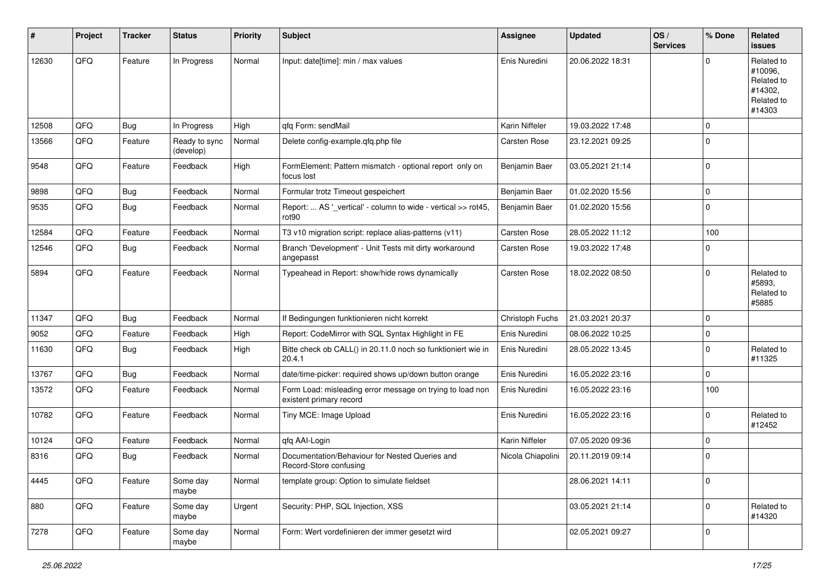| #     | Project | <b>Tracker</b> | <b>Status</b>              | <b>Priority</b> | <b>Subject</b>                                                                       | <b>Assignee</b>   | <b>Updated</b>   | OS/<br><b>Services</b> | % Done      | Related<br><b>issues</b>                                               |
|-------|---------|----------------|----------------------------|-----------------|--------------------------------------------------------------------------------------|-------------------|------------------|------------------------|-------------|------------------------------------------------------------------------|
| 12630 | QFQ     | Feature        | In Progress                | Normal          | Input: date[time]: min / max values                                                  | Enis Nuredini     | 20.06.2022 18:31 |                        | $\Omega$    | Related to<br>#10096,<br>Related to<br>#14302,<br>Related to<br>#14303 |
| 12508 | QFQ     | Bug            | In Progress                | High            | qfq Form: sendMail                                                                   | Karin Niffeler    | 19.03.2022 17:48 |                        | $\Omega$    |                                                                        |
| 13566 | QFQ     | Feature        | Ready to sync<br>(develop) | Normal          | Delete config-example.gfg.php file                                                   | Carsten Rose      | 23.12.2021 09:25 |                        | $\Omega$    |                                                                        |
| 9548  | QFQ     | Feature        | Feedback                   | High            | FormElement: Pattern mismatch - optional report only on<br>focus lost                | Benjamin Baer     | 03.05.2021 21:14 |                        | $\Omega$    |                                                                        |
| 9898  | QFQ     | Bug            | Feedback                   | Normal          | Formular trotz Timeout gespeichert                                                   | Benjamin Baer     | 01.02.2020 15:56 |                        | $\Omega$    |                                                                        |
| 9535  | QFQ     | Bug            | Feedback                   | Normal          | Report:  AS '_vertical' - column to wide - vertical >> rot45,<br>rot <sub>90</sub>   | Benjamin Baer     | 01.02.2020 15:56 |                        | $\Omega$    |                                                                        |
| 12584 | QFQ     | Feature        | Feedback                   | Normal          | T3 v10 migration script: replace alias-patterns (v11)                                | Carsten Rose      | 28.05.2022 11:12 |                        | 100         |                                                                        |
| 12546 | QFQ     | Bug            | Feedback                   | Normal          | Branch 'Development' - Unit Tests mit dirty workaround<br>angepasst                  | Carsten Rose      | 19.03.2022 17:48 |                        | $\Omega$    |                                                                        |
| 5894  | QFQ     | Feature        | Feedback                   | Normal          | Typeahead in Report: show/hide rows dynamically                                      | Carsten Rose      | 18.02.2022 08:50 |                        | $\Omega$    | Related to<br>#5893.<br>Related to<br>#5885                            |
| 11347 | QFQ     | Bug            | Feedback                   | Normal          | If Bedingungen funktionieren nicht korrekt                                           | Christoph Fuchs   | 21.03.2021 20:37 |                        | $\Omega$    |                                                                        |
| 9052  | QFQ     | Feature        | Feedback                   | High            | Report: CodeMirror with SQL Syntax Highlight in FE                                   | Enis Nuredini     | 08.06.2022 10:25 |                        | $\mathbf 0$ |                                                                        |
| 11630 | QFQ     | Bug            | Feedback                   | High            | Bitte check ob CALL() in 20.11.0 noch so funktioniert wie in<br>20.4.1               | Enis Nuredini     | 28.05.2022 13:45 |                        | $\mathbf 0$ | Related to<br>#11325                                                   |
| 13767 | QFQ     | <b>Bug</b>     | Feedback                   | Normal          | date/time-picker: required shows up/down button orange                               | Enis Nuredini     | 16.05.2022 23:16 |                        | $\mathbf 0$ |                                                                        |
| 13572 | QFQ     | Feature        | Feedback                   | Normal          | Form Load: misleading error message on trying to load non<br>existent primary record | Enis Nuredini     | 16.05.2022 23:16 |                        | 100         |                                                                        |
| 10782 | QFQ     | Feature        | Feedback                   | Normal          | Tiny MCE: Image Upload                                                               | Enis Nuredini     | 16.05.2022 23:16 |                        | $\Omega$    | Related to<br>#12452                                                   |
| 10124 | QFQ     | Feature        | Feedback                   | Normal          | qfq AAI-Login                                                                        | Karin Niffeler    | 07.05.2020 09:36 |                        | $\Omega$    |                                                                        |
| 8316  | QFQ     | Bug            | Feedback                   | Normal          | Documentation/Behaviour for Nested Queries and<br>Record-Store confusing             | Nicola Chiapolini | 20.11.2019 09:14 |                        | $\Omega$    |                                                                        |
| 4445  | QFQ     | Feature        | Some day<br>maybe          | Normal          | template group: Option to simulate fieldset                                          |                   | 28.06.2021 14:11 |                        | $\mathbf 0$ |                                                                        |
| 880   | QFQ     | Feature        | Some day<br>maybe          | Urgent          | Security: PHP, SQL Injection, XSS                                                    |                   | 03.05.2021 21:14 |                        | 0           | Related to<br>#14320                                                   |
| 7278  | QFQ     | Feature        | Some day<br>maybe          | Normal          | Form: Wert vordefinieren der immer gesetzt wird                                      |                   | 02.05.2021 09:27 |                        | $\mathbf 0$ |                                                                        |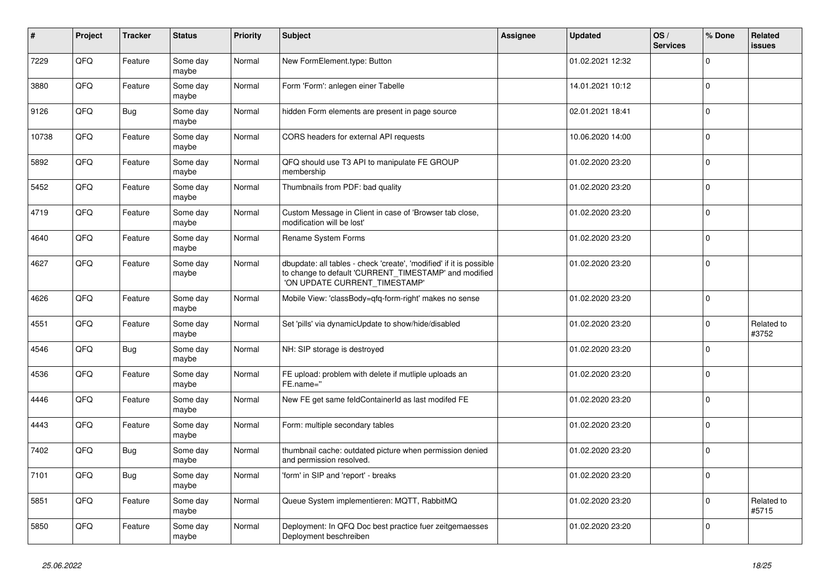| $\vert$ # | Project | <b>Tracker</b> | <b>Status</b>     | <b>Priority</b> | <b>Subject</b>                                                                                                                                                | Assignee | <b>Updated</b>   | OS/<br><b>Services</b> | % Done      | Related<br><b>issues</b> |
|-----------|---------|----------------|-------------------|-----------------|---------------------------------------------------------------------------------------------------------------------------------------------------------------|----------|------------------|------------------------|-------------|--------------------------|
| 7229      | QFQ     | Feature        | Some day<br>maybe | Normal          | New FormElement.type: Button                                                                                                                                  |          | 01.02.2021 12:32 |                        | $\mathbf 0$ |                          |
| 3880      | QFQ     | Feature        | Some day<br>maybe | Normal          | Form 'Form': anlegen einer Tabelle                                                                                                                            |          | 14.01.2021 10:12 |                        | $\mathbf 0$ |                          |
| 9126      | QFQ     | Bug            | Some day<br>maybe | Normal          | hidden Form elements are present in page source                                                                                                               |          | 02.01.2021 18:41 |                        | $\Omega$    |                          |
| 10738     | QFQ     | Feature        | Some day<br>maybe | Normal          | CORS headers for external API requests                                                                                                                        |          | 10.06.2020 14:00 |                        | $\mathbf 0$ |                          |
| 5892      | QFQ     | Feature        | Some day<br>maybe | Normal          | QFQ should use T3 API to manipulate FE GROUP<br>membership                                                                                                    |          | 01.02.2020 23:20 |                        | $\pmb{0}$   |                          |
| 5452      | QFQ     | Feature        | Some day<br>maybe | Normal          | Thumbnails from PDF: bad quality                                                                                                                              |          | 01.02.2020 23:20 |                        | $\Omega$    |                          |
| 4719      | QFQ     | Feature        | Some day<br>maybe | Normal          | Custom Message in Client in case of 'Browser tab close,<br>modification will be lost'                                                                         |          | 01.02.2020 23:20 |                        | $\Omega$    |                          |
| 4640      | QFQ     | Feature        | Some day<br>maybe | Normal          | Rename System Forms                                                                                                                                           |          | 01.02.2020 23:20 |                        | $\mathbf 0$ |                          |
| 4627      | QFQ     | Feature        | Some day<br>maybe | Normal          | dbupdate: all tables - check 'create', 'modified' if it is possible<br>to change to default 'CURRENT_TIMESTAMP' and modified<br>'ON UPDATE CURRENT TIMESTAMP' |          | 01.02.2020 23:20 |                        | $\mathbf 0$ |                          |
| 4626      | QFQ     | Feature        | Some dav<br>maybe | Normal          | Mobile View: 'classBody=qfq-form-right' makes no sense                                                                                                        |          | 01.02.2020 23:20 |                        | $\mathbf 0$ |                          |
| 4551      | QFQ     | Feature        | Some day<br>maybe | Normal          | Set 'pills' via dynamicUpdate to show/hide/disabled                                                                                                           |          | 01.02.2020 23:20 |                        | $\pmb{0}$   | Related to<br>#3752      |
| 4546      | QFQ     | <b>Bug</b>     | Some day<br>maybe | Normal          | NH: SIP storage is destroyed                                                                                                                                  |          | 01.02.2020 23:20 |                        | $\mathbf 0$ |                          |
| 4536      | QFQ     | Feature        | Some day<br>maybe | Normal          | FE upload: problem with delete if mutliple uploads an<br>FE.name="                                                                                            |          | 01.02.2020 23:20 |                        | $\Omega$    |                          |
| 4446      | QFQ     | Feature        | Some day<br>maybe | Normal          | New FE get same feldContainerId as last modifed FE                                                                                                            |          | 01.02.2020 23:20 |                        | $\pmb{0}$   |                          |
| 4443      | QFQ     | Feature        | Some day<br>maybe | Normal          | Form: multiple secondary tables                                                                                                                               |          | 01.02.2020 23:20 |                        | $\mathbf 0$ |                          |
| 7402      | QFQ     | <b>Bug</b>     | Some day<br>maybe | Normal          | thumbnail cache: outdated picture when permission denied<br>and permission resolved.                                                                          |          | 01.02.2020 23:20 |                        | $\mathbf 0$ |                          |
| 7101      | QFQ     | <b>Bug</b>     | Some day<br>maybe | Normal          | 'form' in SIP and 'report' - breaks                                                                                                                           |          | 01.02.2020 23:20 |                        | $\Omega$    |                          |
| 5851      | QFQ     | Feature        | Some day<br>maybe | Normal          | Queue System implementieren: MQTT, RabbitMQ                                                                                                                   |          | 01.02.2020 23:20 |                        | $\mathbf 0$ | Related to<br>#5715      |
| 5850      | QFQ     | Feature        | Some day<br>maybe | Normal          | Deployment: In QFQ Doc best practice fuer zeitgemaesses<br>Deployment beschreiben                                                                             |          | 01.02.2020 23:20 |                        | $\mathbf 0$ |                          |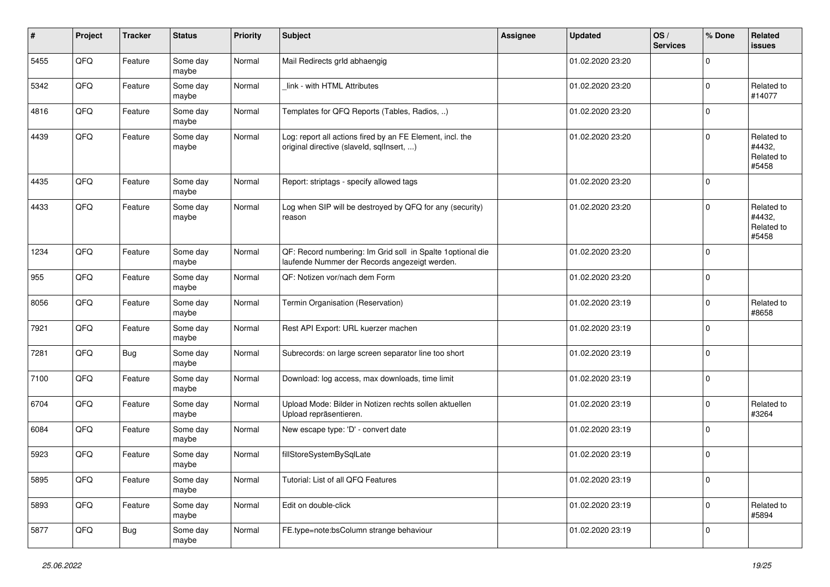| #    | Project | <b>Tracker</b> | <b>Status</b>     | <b>Priority</b> | <b>Subject</b>                                                                                               | Assignee | <b>Updated</b>   | OS/<br><b>Services</b> | % Done         | Related<br><b>issues</b>                    |
|------|---------|----------------|-------------------|-----------------|--------------------------------------------------------------------------------------------------------------|----------|------------------|------------------------|----------------|---------------------------------------------|
| 5455 | QFQ     | Feature        | Some day<br>maybe | Normal          | Mail Redirects grld abhaengig                                                                                |          | 01.02.2020 23:20 |                        | 0              |                                             |
| 5342 | QFQ     | Feature        | Some day<br>maybe | Normal          | link - with HTML Attributes                                                                                  |          | 01.02.2020 23:20 |                        | $\mathbf 0$    | Related to<br>#14077                        |
| 4816 | QFQ     | Feature        | Some day<br>maybe | Normal          | Templates for QFQ Reports (Tables, Radios, )                                                                 |          | 01.02.2020 23:20 |                        | 0              |                                             |
| 4439 | QFQ     | Feature        | Some day<br>maybe | Normal          | Log: report all actions fired by an FE Element, incl. the<br>original directive (slaveld, sqllnsert, )       |          | 01.02.2020 23:20 |                        | $\mathbf 0$    | Related to<br>#4432,<br>Related to<br>#5458 |
| 4435 | QFQ     | Feature        | Some day<br>maybe | Normal          | Report: striptags - specify allowed tags                                                                     |          | 01.02.2020 23:20 |                        | $\mathbf 0$    |                                             |
| 4433 | QFQ     | Feature        | Some day<br>maybe | Normal          | Log when SIP will be destroyed by QFQ for any (security)<br>reason                                           |          | 01.02.2020 23:20 |                        | $\mathbf 0$    | Related to<br>#4432,<br>Related to<br>#5458 |
| 1234 | QFQ     | Feature        | Some day<br>maybe | Normal          | QF: Record numbering: Im Grid soll in Spalte 1 optional die<br>laufende Nummer der Records angezeigt werden. |          | 01.02.2020 23:20 |                        | $\mathbf 0$    |                                             |
| 955  | QFQ     | Feature        | Some day<br>maybe | Normal          | QF: Notizen vor/nach dem Form                                                                                |          | 01.02.2020 23:20 |                        | $\mathbf 0$    |                                             |
| 8056 | QFQ     | Feature        | Some day<br>maybe | Normal          | Termin Organisation (Reservation)                                                                            |          | 01.02.2020 23:19 |                        | $\mathbf 0$    | Related to<br>#8658                         |
| 7921 | QFQ     | Feature        | Some day<br>maybe | Normal          | Rest API Export: URL kuerzer machen                                                                          |          | 01.02.2020 23:19 |                        | $\mathbf 0$    |                                             |
| 7281 | QFQ     | <b>Bug</b>     | Some day<br>maybe | Normal          | Subrecords: on large screen separator line too short                                                         |          | 01.02.2020 23:19 |                        | $\mathbf 0$    |                                             |
| 7100 | QFQ     | Feature        | Some day<br>maybe | Normal          | Download: log access, max downloads, time limit                                                              |          | 01.02.2020 23:19 |                        | $\mathbf 0$    |                                             |
| 6704 | QFQ     | Feature        | Some day<br>maybe | Normal          | Upload Mode: Bilder in Notizen rechts sollen aktuellen<br>Upload repräsentieren.                             |          | 01.02.2020 23:19 |                        | $\mathbf 0$    | Related to<br>#3264                         |
| 6084 | QFQ     | Feature        | Some day<br>maybe | Normal          | New escape type: 'D' - convert date                                                                          |          | 01.02.2020 23:19 |                        | $\mathbf 0$    |                                             |
| 5923 | QFQ     | Feature        | Some day<br>maybe | Normal          | fillStoreSystemBySqlLate                                                                                     |          | 01.02.2020 23:19 |                        | $\mathbf 0$    |                                             |
| 5895 | QFG     | Feature        | Some day<br>maybe | Normal          | Tutorial: List of all QFQ Features                                                                           |          | 01.02.2020 23:19 |                        | $\overline{0}$ |                                             |
| 5893 | QFG     | Feature        | Some day<br>maybe | Normal          | Edit on double-click                                                                                         |          | 01.02.2020 23:19 |                        | $\pmb{0}$      | Related to<br>#5894                         |
| 5877 | QFG     | Bug            | Some day<br>maybe | Normal          | FE.type=note:bsColumn strange behaviour                                                                      |          | 01.02.2020 23:19 |                        | $\pmb{0}$      |                                             |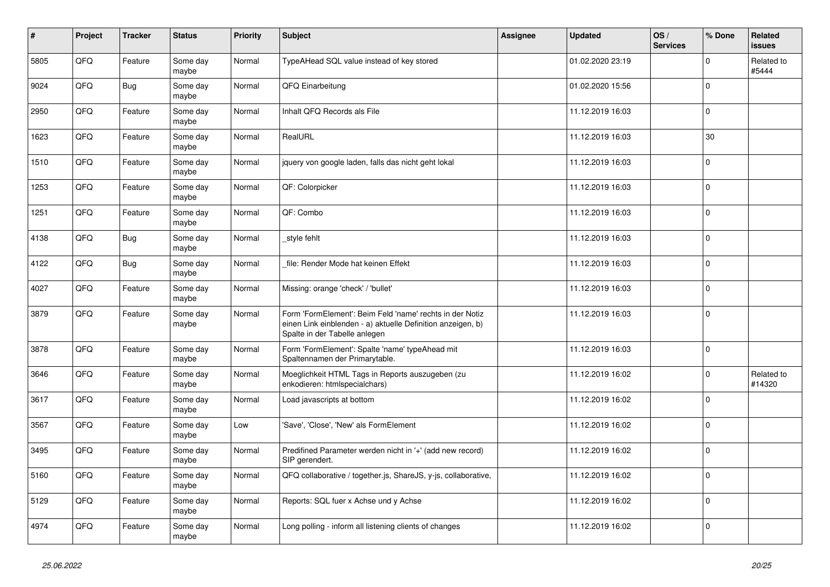| $\vert$ # | Project | <b>Tracker</b> | <b>Status</b>     | <b>Priority</b> | <b>Subject</b>                                                                                                                                           | Assignee | <b>Updated</b>   | OS/<br><b>Services</b> | % Done       | Related<br><b>issues</b> |
|-----------|---------|----------------|-------------------|-----------------|----------------------------------------------------------------------------------------------------------------------------------------------------------|----------|------------------|------------------------|--------------|--------------------------|
| 5805      | QFQ     | Feature        | Some day<br>maybe | Normal          | TypeAHead SQL value instead of key stored                                                                                                                |          | 01.02.2020 23:19 |                        | $\Omega$     | Related to<br>#5444      |
| 9024      | QFQ     | <b>Bug</b>     | Some day<br>maybe | Normal          | QFQ Einarbeitung                                                                                                                                         |          | 01.02.2020 15:56 |                        | $\mathbf 0$  |                          |
| 2950      | QFQ     | Feature        | Some day<br>maybe | Normal          | Inhalt QFQ Records als File                                                                                                                              |          | 11.12.2019 16:03 |                        | $\mathbf 0$  |                          |
| 1623      | QFQ     | Feature        | Some day<br>maybe | Normal          | RealURL                                                                                                                                                  |          | 11.12.2019 16:03 |                        | 30           |                          |
| 1510      | QFQ     | Feature        | Some day<br>maybe | Normal          | jquery von google laden, falls das nicht geht lokal                                                                                                      |          | 11.12.2019 16:03 |                        | $\mathbf 0$  |                          |
| 1253      | QFQ     | Feature        | Some day<br>maybe | Normal          | QF: Colorpicker                                                                                                                                          |          | 11.12.2019 16:03 |                        | $\mathbf 0$  |                          |
| 1251      | QFQ     | Feature        | Some day<br>maybe | Normal          | QF: Combo                                                                                                                                                |          | 11.12.2019 16:03 |                        | $\Omega$     |                          |
| 4138      | QFQ     | <b>Bug</b>     | Some day<br>maybe | Normal          | style fehlt                                                                                                                                              |          | 11.12.2019 16:03 |                        | $\pmb{0}$    |                          |
| 4122      | QFQ     | Bug            | Some day<br>maybe | Normal          | file: Render Mode hat keinen Effekt                                                                                                                      |          | 11.12.2019 16:03 |                        | $\Omega$     |                          |
| 4027      | QFQ     | Feature        | Some day<br>maybe | Normal          | Missing: orange 'check' / 'bullet'                                                                                                                       |          | 11.12.2019 16:03 |                        | $\mathbf 0$  |                          |
| 3879      | QFQ     | Feature        | Some day<br>maybe | Normal          | Form 'FormElement': Beim Feld 'name' rechts in der Notiz<br>einen Link einblenden - a) aktuelle Definition anzeigen, b)<br>Spalte in der Tabelle anlegen |          | 11.12.2019 16:03 |                        | $\mathbf 0$  |                          |
| 3878      | QFQ     | Feature        | Some day<br>maybe | Normal          | Form 'FormElement': Spalte 'name' typeAhead mit<br>Spaltennamen der Primarytable.                                                                        |          | 11.12.2019 16:03 |                        | $\Omega$     |                          |
| 3646      | QFQ     | Feature        | Some day<br>maybe | Normal          | Moeglichkeit HTML Tags in Reports auszugeben (zu<br>enkodieren: htmlspecialchars)                                                                        |          | 11.12.2019 16:02 |                        | $\pmb{0}$    | Related to<br>#14320     |
| 3617      | QFQ     | Feature        | Some day<br>maybe | Normal          | Load javascripts at bottom                                                                                                                               |          | 11.12.2019 16:02 |                        | $\mathbf{0}$ |                          |
| 3567      | QFQ     | Feature        | Some day<br>maybe | Low             | 'Save', 'Close', 'New' als FormElement                                                                                                                   |          | 11.12.2019 16:02 |                        | $\mathbf 0$  |                          |
| 3495      | QFQ     | Feature        | Some day<br>maybe | Normal          | Predifined Parameter werden nicht in '+' (add new record)<br>SIP gerendert.                                                                              |          | 11.12.2019 16:02 |                        | $\pmb{0}$    |                          |
| 5160      | QFQ     | Feature        | Some day<br>maybe | Normal          | QFQ collaborative / together.js, ShareJS, y-js, collaborative,                                                                                           |          | 11.12.2019 16:02 |                        | $\Omega$     |                          |
| 5129      | QFQ     | Feature        | Some day<br>maybe | Normal          | Reports: SQL fuer x Achse und y Achse                                                                                                                    |          | 11.12.2019 16:02 |                        | $\mathbf 0$  |                          |
| 4974      | QFQ     | Feature        | Some day<br>maybe | Normal          | Long polling - inform all listening clients of changes                                                                                                   |          | 11.12.2019 16:02 |                        | $\mathbf 0$  |                          |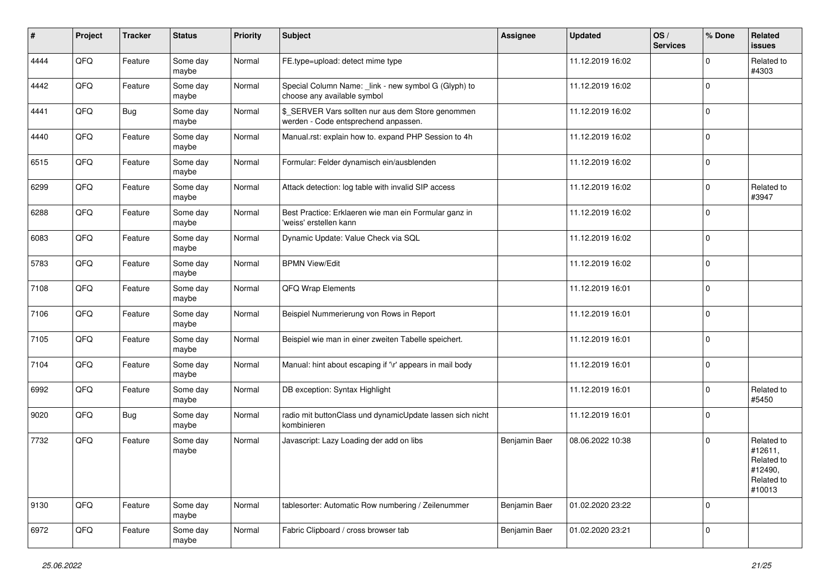| #    | Project | <b>Tracker</b> | <b>Status</b>     | <b>Priority</b> | <b>Subject</b>                                                                            | <b>Assignee</b> | <b>Updated</b>   | OS/<br><b>Services</b> | % Done      | Related<br>issues                                                      |
|------|---------|----------------|-------------------|-----------------|-------------------------------------------------------------------------------------------|-----------------|------------------|------------------------|-------------|------------------------------------------------------------------------|
| 4444 | QFQ     | Feature        | Some day<br>maybe | Normal          | FE.type=upload: detect mime type                                                          |                 | 11.12.2019 16:02 |                        | 0           | Related to<br>#4303                                                    |
| 4442 | QFQ     | Feature        | Some day<br>maybe | Normal          | Special Column Name: _link - new symbol G (Glyph) to<br>choose any available symbol       |                 | 11.12.2019 16:02 |                        | $\mathbf 0$ |                                                                        |
| 4441 | QFQ     | Bug            | Some day<br>maybe | Normal          | \$_SERVER Vars sollten nur aus dem Store genommen<br>werden - Code entsprechend anpassen. |                 | 11.12.2019 16:02 |                        | $\mathbf 0$ |                                                                        |
| 4440 | QFQ     | Feature        | Some day<br>maybe | Normal          | Manual.rst: explain how to. expand PHP Session to 4h                                      |                 | 11.12.2019 16:02 |                        | $\mathbf 0$ |                                                                        |
| 6515 | QFQ     | Feature        | Some day<br>maybe | Normal          | Formular: Felder dynamisch ein/ausblenden                                                 |                 | 11.12.2019 16:02 |                        | $\mathbf 0$ |                                                                        |
| 6299 | QFQ     | Feature        | Some day<br>maybe | Normal          | Attack detection: log table with invalid SIP access                                       |                 | 11.12.2019 16:02 |                        | 0           | Related to<br>#3947                                                    |
| 6288 | QFQ     | Feature        | Some day<br>maybe | Normal          | Best Practice: Erklaeren wie man ein Formular ganz in<br>'weiss' erstellen kann           |                 | 11.12.2019 16:02 |                        | $\mathbf 0$ |                                                                        |
| 6083 | QFQ     | Feature        | Some day<br>maybe | Normal          | Dynamic Update: Value Check via SQL                                                       |                 | 11.12.2019 16:02 |                        | $\mathbf 0$ |                                                                        |
| 5783 | QFQ     | Feature        | Some day<br>maybe | Normal          | <b>BPMN View/Edit</b>                                                                     |                 | 11.12.2019 16:02 |                        | $\mathbf 0$ |                                                                        |
| 7108 | QFQ     | Feature        | Some day<br>maybe | Normal          | QFQ Wrap Elements                                                                         |                 | 11.12.2019 16:01 |                        | $\mathbf 0$ |                                                                        |
| 7106 | QFQ     | Feature        | Some day<br>maybe | Normal          | Beispiel Nummerierung von Rows in Report                                                  |                 | 11.12.2019 16:01 |                        | $\mathbf 0$ |                                                                        |
| 7105 | QFQ     | Feature        | Some day<br>maybe | Normal          | Beispiel wie man in einer zweiten Tabelle speichert.                                      |                 | 11.12.2019 16:01 |                        | $\mathbf 0$ |                                                                        |
| 7104 | QFQ     | Feature        | Some day<br>maybe | Normal          | Manual: hint about escaping if '\r' appears in mail body                                  |                 | 11.12.2019 16:01 |                        | $\mathbf 0$ |                                                                        |
| 6992 | QFQ     | Feature        | Some day<br>maybe | Normal          | DB exception: Syntax Highlight                                                            |                 | 11.12.2019 16:01 |                        | $\mathbf 0$ | Related to<br>#5450                                                    |
| 9020 | QFQ     | <b>Bug</b>     | Some day<br>maybe | Normal          | radio mit buttonClass und dynamicUpdate lassen sich nicht<br>kombinieren                  |                 | 11.12.2019 16:01 |                        | $\mathbf 0$ |                                                                        |
| 7732 | QFQ     | Feature        | Some day<br>maybe | Normal          | Javascript: Lazy Loading der add on libs                                                  | Benjamin Baer   | 08.06.2022 10:38 |                        | $\mathbf 0$ | Related to<br>#12611,<br>Related to<br>#12490,<br>Related to<br>#10013 |
| 9130 | QFQ     | Feature        | Some day<br>maybe | Normal          | tablesorter: Automatic Row numbering / Zeilenummer                                        | Benjamin Baer   | 01.02.2020 23:22 |                        | $\mathbf 0$ |                                                                        |
| 6972 | QFQ     | Feature        | Some day<br>maybe | Normal          | Fabric Clipboard / cross browser tab                                                      | Benjamin Baer   | 01.02.2020 23:21 |                        | $\mathbf 0$ |                                                                        |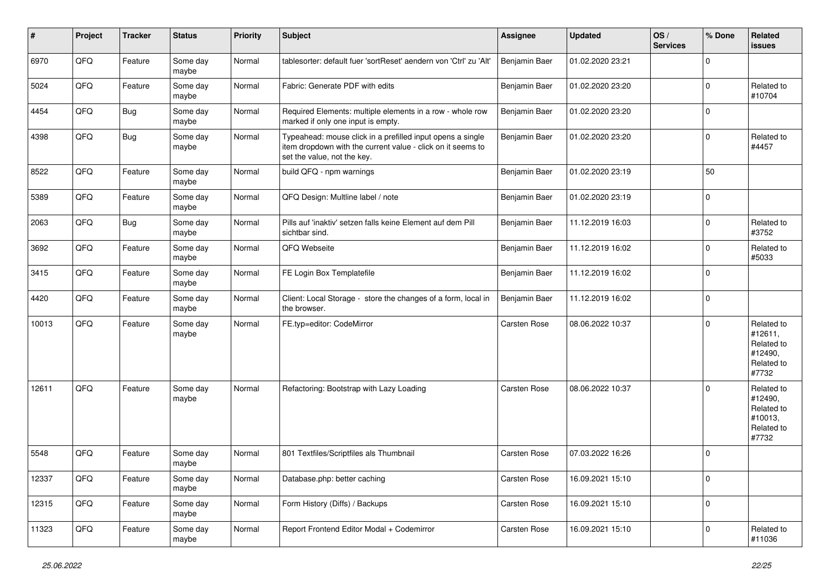| #     | Project | <b>Tracker</b> | <b>Status</b>     | <b>Priority</b> | <b>Subject</b>                                                                                                                                           | <b>Assignee</b> | <b>Updated</b>   | OS/<br><b>Services</b> | % Done      | Related<br>issues                                                     |
|-------|---------|----------------|-------------------|-----------------|----------------------------------------------------------------------------------------------------------------------------------------------------------|-----------------|------------------|------------------------|-------------|-----------------------------------------------------------------------|
| 6970  | QFQ     | Feature        | Some day<br>maybe | Normal          | tablesorter: default fuer 'sortReset' aendern von 'Ctrl' zu 'Alt'                                                                                        | Benjamin Baer   | 01.02.2020 23:21 |                        | $\mathbf 0$ |                                                                       |
| 5024  | QFQ     | Feature        | Some day<br>maybe | Normal          | Fabric: Generate PDF with edits                                                                                                                          | Benjamin Baer   | 01.02.2020 23:20 |                        | 0           | Related to<br>#10704                                                  |
| 4454  | QFQ     | Bug            | Some day<br>maybe | Normal          | Required Elements: multiple elements in a row - whole row<br>marked if only one input is empty.                                                          | Benjamin Baer   | 01.02.2020 23:20 |                        | $\mathbf 0$ |                                                                       |
| 4398  | QFQ     | <b>Bug</b>     | Some day<br>maybe | Normal          | Typeahead: mouse click in a prefilled input opens a single<br>item dropdown with the current value - click on it seems to<br>set the value, not the key. | Benjamin Baer   | 01.02.2020 23:20 |                        | $\mathbf 0$ | Related to<br>#4457                                                   |
| 8522  | QFQ     | Feature        | Some day<br>maybe | Normal          | build QFQ - npm warnings                                                                                                                                 | Benjamin Baer   | 01.02.2020 23:19 |                        | 50          |                                                                       |
| 5389  | QFQ     | Feature        | Some day<br>maybe | Normal          | QFQ Design: Multline label / note                                                                                                                        | Benjamin Baer   | 01.02.2020 23:19 |                        | $\mathbf 0$ |                                                                       |
| 2063  | QFQ     | <b>Bug</b>     | Some day<br>maybe | Normal          | Pills auf 'inaktiv' setzen falls keine Element auf dem Pill<br>sichtbar sind.                                                                            | Benjamin Baer   | 11.12.2019 16:03 |                        | $\mathbf 0$ | Related to<br>#3752                                                   |
| 3692  | QFQ     | Feature        | Some day<br>maybe | Normal          | QFQ Webseite                                                                                                                                             | Benjamin Baer   | 11.12.2019 16:02 |                        | $\mathbf 0$ | Related to<br>#5033                                                   |
| 3415  | QFQ     | Feature        | Some day<br>maybe | Normal          | FE Login Box Templatefile                                                                                                                                | Benjamin Baer   | 11.12.2019 16:02 |                        | $\mathbf 0$ |                                                                       |
| 4420  | QFQ     | Feature        | Some day<br>maybe | Normal          | Client: Local Storage - store the changes of a form, local in<br>the browser.                                                                            | Benjamin Baer   | 11.12.2019 16:02 |                        | $\mathbf 0$ |                                                                       |
| 10013 | QFQ     | Feature        | Some day<br>maybe | Normal          | FE.typ=editor: CodeMirror                                                                                                                                | Carsten Rose    | 08.06.2022 10:37 |                        | $\mathbf 0$ | Related to<br>#12611,<br>Related to<br>#12490,<br>Related to<br>#7732 |
| 12611 | QFQ     | Feature        | Some day<br>maybe | Normal          | Refactoring: Bootstrap with Lazy Loading                                                                                                                 | Carsten Rose    | 08.06.2022 10:37 |                        | $\mathbf 0$ | Related to<br>#12490,<br>Related to<br>#10013,<br>Related to<br>#7732 |
| 5548  | QFQ     | Feature        | Some day<br>maybe | Normal          | 801 Textfiles/Scriptfiles als Thumbnail                                                                                                                  | Carsten Rose    | 07.03.2022 16:26 |                        | $\mathbf 0$ |                                                                       |
| 12337 | QFQ     | Feature        | Some day<br>maybe | Normal          | Database.php: better caching                                                                                                                             | Carsten Rose    | 16.09.2021 15:10 |                        | $\mathsf 0$ |                                                                       |
| 12315 | QFG     | Feature        | Some day<br>maybe | Normal          | Form History (Diffs) / Backups                                                                                                                           | Carsten Rose    | 16.09.2021 15:10 |                        | $\pmb{0}$   |                                                                       |
| 11323 | QFQ     | Feature        | Some day<br>maybe | Normal          | Report Frontend Editor Modal + Codemirror                                                                                                                | Carsten Rose    | 16.09.2021 15:10 |                        | $\mathbf 0$ | Related to<br>#11036                                                  |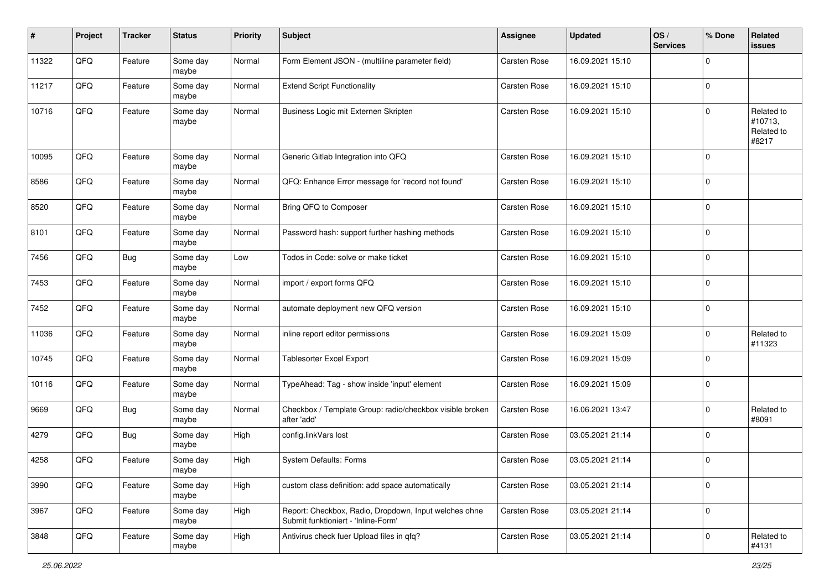| #     | Project | <b>Tracker</b> | <b>Status</b>     | <b>Priority</b> | <b>Subject</b>                                                                               | <b>Assignee</b>     | <b>Updated</b>   | OS/<br><b>Services</b> | % Done      | Related<br><b>issues</b>                     |
|-------|---------|----------------|-------------------|-----------------|----------------------------------------------------------------------------------------------|---------------------|------------------|------------------------|-------------|----------------------------------------------|
| 11322 | QFQ     | Feature        | Some day<br>maybe | Normal          | Form Element JSON - (multiline parameter field)                                              | Carsten Rose        | 16.09.2021 15:10 |                        | $\Omega$    |                                              |
| 11217 | QFQ     | Feature        | Some day<br>maybe | Normal          | <b>Extend Script Functionality</b>                                                           | Carsten Rose        | 16.09.2021 15:10 |                        | $\mathbf 0$ |                                              |
| 10716 | QFQ     | Feature        | Some day<br>maybe | Normal          | Business Logic mit Externen Skripten                                                         | Carsten Rose        | 16.09.2021 15:10 |                        | $\Omega$    | Related to<br>#10713,<br>Related to<br>#8217 |
| 10095 | QFQ     | Feature        | Some day<br>maybe | Normal          | Generic Gitlab Integration into QFQ                                                          | <b>Carsten Rose</b> | 16.09.2021 15:10 |                        | $\mathbf 0$ |                                              |
| 8586  | QFQ     | Feature        | Some day<br>maybe | Normal          | QFQ: Enhance Error message for 'record not found'                                            | Carsten Rose        | 16.09.2021 15:10 |                        | $\Omega$    |                                              |
| 8520  | QFQ     | Feature        | Some day<br>maybe | Normal          | Bring QFQ to Composer                                                                        | Carsten Rose        | 16.09.2021 15:10 |                        | $\Omega$    |                                              |
| 8101  | QFQ     | Feature        | Some day<br>maybe | Normal          | Password hash: support further hashing methods                                               | <b>Carsten Rose</b> | 16.09.2021 15:10 |                        | $\mathbf 0$ |                                              |
| 7456  | QFQ     | <b>Bug</b>     | Some day<br>maybe | Low             | Todos in Code: solve or make ticket                                                          | Carsten Rose        | 16.09.2021 15:10 |                        | $\mathbf 0$ |                                              |
| 7453  | QFQ     | Feature        | Some day<br>maybe | Normal          | import / export forms QFQ                                                                    | Carsten Rose        | 16.09.2021 15:10 |                        | $\mathbf 0$ |                                              |
| 7452  | QFQ     | Feature        | Some day<br>maybe | Normal          | automate deployment new QFQ version                                                          | Carsten Rose        | 16.09.2021 15:10 |                        | $\mathbf 0$ |                                              |
| 11036 | QFQ     | Feature        | Some day<br>maybe | Normal          | inline report editor permissions                                                             | <b>Carsten Rose</b> | 16.09.2021 15:09 |                        | $\mathbf 0$ | Related to<br>#11323                         |
| 10745 | QFQ     | Feature        | Some day<br>maybe | Normal          | Tablesorter Excel Export                                                                     | Carsten Rose        | 16.09.2021 15:09 |                        | $\mathbf 0$ |                                              |
| 10116 | QFQ     | Feature        | Some day<br>maybe | Normal          | TypeAhead: Tag - show inside 'input' element                                                 | Carsten Rose        | 16.09.2021 15:09 |                        | $\mathbf 0$ |                                              |
| 9669  | QFQ     | <b>Bug</b>     | Some day<br>maybe | Normal          | Checkbox / Template Group: radio/checkbox visible broken<br>after 'add'                      | Carsten Rose        | 16.06.2021 13:47 |                        | $\mathbf 0$ | Related to<br>#8091                          |
| 4279  | QFQ     | <b>Bug</b>     | Some day<br>maybe | High            | config.linkVars lost                                                                         | Carsten Rose        | 03.05.2021 21:14 |                        | $\mathbf 0$ |                                              |
| 4258  | QFQ     | Feature        | Some day<br>maybe | High            | System Defaults: Forms                                                                       | Carsten Rose        | 03.05.2021 21:14 |                        | $\mathbf 0$ |                                              |
| 3990  | QFQ     | Feature        | Some day<br>maybe | High            | custom class definition: add space automatically                                             | Carsten Rose        | 03.05.2021 21:14 |                        | $\mathbf 0$ |                                              |
| 3967  | QFQ     | Feature        | Some day<br>maybe | High            | Report: Checkbox, Radio, Dropdown, Input welches ohne<br>Submit funktioniert - 'Inline-Form' | Carsten Rose        | 03.05.2021 21:14 |                        | $\mathbf 0$ |                                              |
| 3848  | QFQ     | Feature        | Some day<br>maybe | High            | Antivirus check fuer Upload files in qfq?                                                    | Carsten Rose        | 03.05.2021 21:14 |                        | $\pmb{0}$   | Related to<br>#4131                          |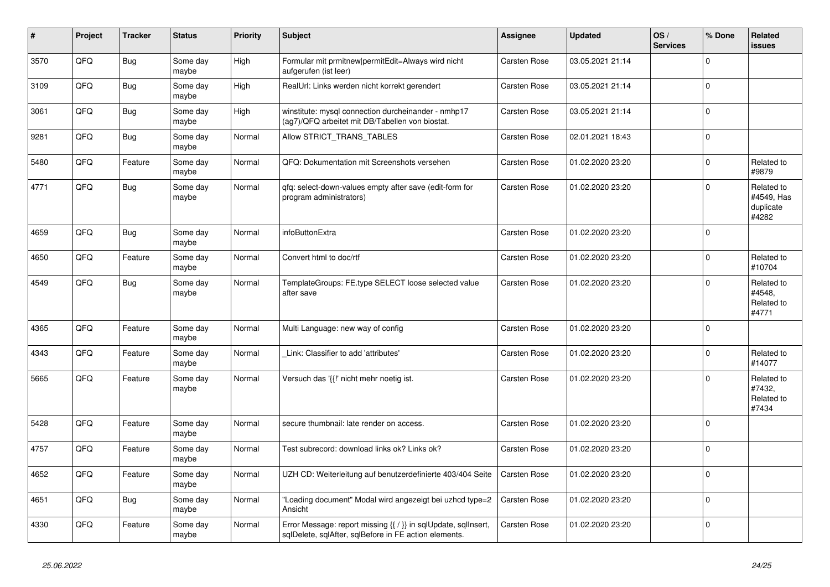| #    | Project | <b>Tracker</b> | <b>Status</b>     | Priority | <b>Subject</b>                                                                                                                     | Assignee            | <b>Updated</b>   | OS/<br><b>Services</b> | % Done      | Related<br>issues                              |
|------|---------|----------------|-------------------|----------|------------------------------------------------------------------------------------------------------------------------------------|---------------------|------------------|------------------------|-------------|------------------------------------------------|
| 3570 | QFQ     | <b>Bug</b>     | Some day<br>maybe | High     | Formular mit prmitnew permitEdit=Always wird nicht<br>aufgerufen (ist leer)                                                        | <b>Carsten Rose</b> | 03.05.2021 21:14 |                        | $\Omega$    |                                                |
| 3109 | QFQ     | <b>Bug</b>     | Some day<br>maybe | High     | RealUrl: Links werden nicht korrekt gerendert                                                                                      | Carsten Rose        | 03.05.2021 21:14 |                        | $\Omega$    |                                                |
| 3061 | QFQ     | <b>Bug</b>     | Some day<br>maybe | High     | winstitute: mysql connection durcheinander - nmhp17<br>(ag7)/QFQ arbeitet mit DB/Tabellen von biostat.                             | Carsten Rose        | 03.05.2021 21:14 |                        | $\Omega$    |                                                |
| 9281 | QFQ     | Bug            | Some day<br>maybe | Normal   | Allow STRICT_TRANS_TABLES                                                                                                          | Carsten Rose        | 02.01.2021 18:43 |                        | $\Omega$    |                                                |
| 5480 | QFQ     | Feature        | Some day<br>maybe | Normal   | QFQ: Dokumentation mit Screenshots versehen                                                                                        | <b>Carsten Rose</b> | 01.02.2020 23:20 |                        | $\Omega$    | Related to<br>#9879                            |
| 4771 | QFQ     | Bug            | Some day<br>maybe | Normal   | qfq: select-down-values empty after save (edit-form for<br>program administrators)                                                 | <b>Carsten Rose</b> | 01.02.2020 23:20 |                        | $\Omega$    | Related to<br>#4549, Has<br>duplicate<br>#4282 |
| 4659 | QFQ     | <b>Bug</b>     | Some day<br>maybe | Normal   | infoButtonExtra                                                                                                                    | <b>Carsten Rose</b> | 01.02.2020 23:20 |                        | $\Omega$    |                                                |
| 4650 | QFQ     | Feature        | Some day<br>maybe | Normal   | Convert html to doc/rtf                                                                                                            | <b>Carsten Rose</b> | 01.02.2020 23:20 |                        | $\mathbf 0$ | Related to<br>#10704                           |
| 4549 | QFQ     | Bug            | Some day<br>maybe | Normal   | TemplateGroups: FE.type SELECT loose selected value<br>after save                                                                  | Carsten Rose        | 01.02.2020 23:20 |                        | $\Omega$    | Related to<br>#4548.<br>Related to<br>#4771    |
| 4365 | QFQ     | Feature        | Some day<br>maybe | Normal   | Multi Language: new way of config                                                                                                  | Carsten Rose        | 01.02.2020 23:20 |                        | $\Omega$    |                                                |
| 4343 | QFQ     | Feature        | Some day<br>maybe | Normal   | Link: Classifier to add 'attributes'                                                                                               | Carsten Rose        | 01.02.2020 23:20 |                        | $\Omega$    | Related to<br>#14077                           |
| 5665 | QFQ     | Feature        | Some day<br>maybe | Normal   | Versuch das '{{!' nicht mehr noetig ist.                                                                                           | <b>Carsten Rose</b> | 01.02.2020 23:20 |                        | $\Omega$    | Related to<br>#7432,<br>Related to<br>#7434    |
| 5428 | QFQ     | Feature        | Some day<br>maybe | Normal   | secure thumbnail: late render on access.                                                                                           | <b>Carsten Rose</b> | 01.02.2020 23:20 |                        | $\Omega$    |                                                |
| 4757 | QFQ     | Feature        | Some day<br>maybe | Normal   | Test subrecord: download links ok? Links ok?                                                                                       | Carsten Rose        | 01.02.2020 23:20 |                        | $\Omega$    |                                                |
| 4652 | QFQ     | Feature        | Some day<br>maybe | Normal   | UZH CD: Weiterleitung auf benutzerdefinierte 403/404 Seite                                                                         | <b>Carsten Rose</b> | 01.02.2020 23:20 |                        | $\Omega$    |                                                |
| 4651 | QFQ     | Bug            | Some day<br>maybe | Normal   | 'Loading document" Modal wird angezeigt bei uzhcd type=2<br>Ansicht                                                                | Carsten Rose        | 01.02.2020 23:20 |                        | $\Omega$    |                                                |
| 4330 | QFQ     | Feature        | Some day<br>maybe | Normal   | Error Message: report missing $\{\{\ \right\}\}$ in sqlUpdate, sqlInsert,<br>sqlDelete, sqlAfter, sqlBefore in FE action elements. | Carsten Rose        | 01.02.2020 23:20 |                        | $\Omega$    |                                                |